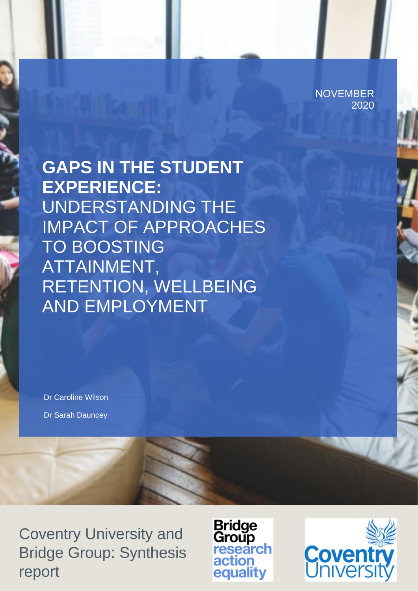**NOVEMBER** 2020

**GAPS IN THE STUDENT EXPERIENCE: UNDERSTANDING THE IMPACT OF APPROACHES TO BOOSTING** ATTAINMENT, **RETENTION, WELLBEING AND EMPLOYMENT** 

Dr Caroline Wilson Dr Sarah Dauncey

**Coventry University and Bridge Group: Synthesis** report

**Bridge** Group<br>research action equality

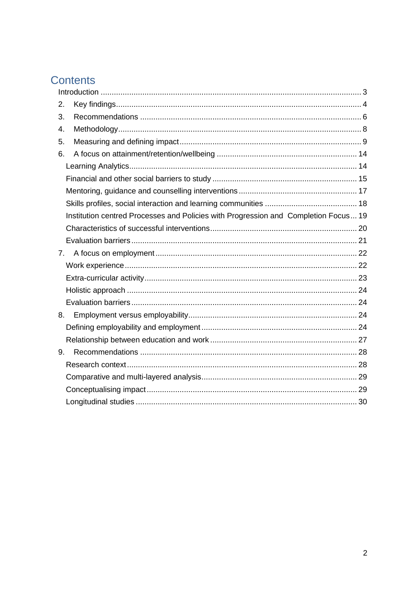# Contents

| 2.             |                                                                                     |  |
|----------------|-------------------------------------------------------------------------------------|--|
| 3.             |                                                                                     |  |
| 4.             |                                                                                     |  |
| 5.             |                                                                                     |  |
| 6.             |                                                                                     |  |
|                |                                                                                     |  |
|                |                                                                                     |  |
|                |                                                                                     |  |
|                |                                                                                     |  |
|                | Institution centred Processes and Policies with Progression and Completion Focus 19 |  |
|                |                                                                                     |  |
|                |                                                                                     |  |
| 7 <sub>1</sub> |                                                                                     |  |
|                |                                                                                     |  |
|                |                                                                                     |  |
|                |                                                                                     |  |
|                |                                                                                     |  |
| 8.             |                                                                                     |  |
|                |                                                                                     |  |
|                |                                                                                     |  |
| 9.             |                                                                                     |  |
|                |                                                                                     |  |
|                |                                                                                     |  |
|                |                                                                                     |  |
|                |                                                                                     |  |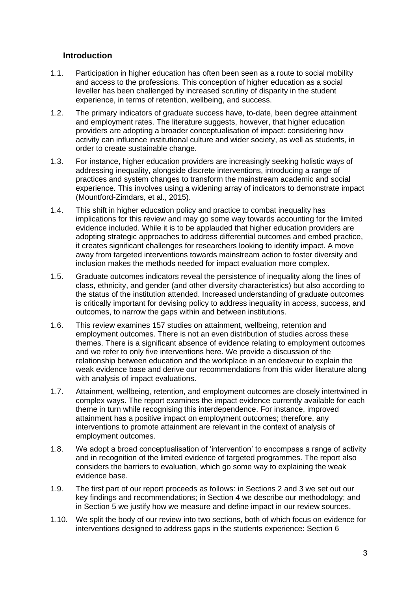## <span id="page-2-0"></span>**Introduction**

- 1.1. Participation in higher education has often been seen as a route to social mobility and access to the professions. This conception of higher education as a social leveller has been challenged by increased scrutiny of disparity in the student experience, in terms of retention, wellbeing, and success.
- 1.2. The primary indicators of graduate success have, to-date, been degree attainment and employment rates. The literature suggests, however, that higher education providers are adopting a broader conceptualisation of impact: considering how activity can influence institutional culture and wider society, as well as students, in order to create sustainable change.
- 1.3. For instance, higher education providers are increasingly seeking holistic ways of addressing inequality, alongside discrete interventions, introducing a range of practices and system changes to transform the mainstream academic and social experience. This involves using a widening array of indicators to demonstrate impact (Mountford-Zimdars, et al., 2015).
- 1.4. This shift in higher education policy and practice to combat inequality has implications for this review and may go some way towards accounting for the limited evidence included. While it is to be applauded that higher education providers are adopting strategic approaches to address differential outcomes and embed practice, it creates significant challenges for researchers looking to identify impact. A move away from targeted interventions towards mainstream action to foster diversity and inclusion makes the methods needed for impact evaluation more complex.
- 1.5. Graduate outcomes indicators reveal the persistence of inequality along the lines of class, ethnicity, and gender (and other diversity characteristics) but also according to the status of the institution attended. Increased understanding of graduate outcomes is critically important for devising policy to address inequality in access, success, and outcomes, to narrow the gaps within and between institutions.
- 1.6. This review examines 157 studies on attainment, wellbeing, retention and employment outcomes. There is not an even distribution of studies across these themes. There is a significant absence of evidence relating to employment outcomes and we refer to only five interventions here. We provide a discussion of the relationship between education and the workplace in an endeavour to explain the weak evidence base and derive our recommendations from this wider literature along with analysis of impact evaluations.
- 1.7. Attainment, wellbeing, retention, and employment outcomes are closely intertwined in complex ways. The report examines the impact evidence currently available for each theme in turn while recognising this interdependence. For instance, improved attainment has a positive impact on employment outcomes; therefore, any interventions to promote attainment are relevant in the context of analysis of employment outcomes.
- 1.8. We adopt a broad conceptualisation of 'intervention' to encompass a range of activity and in recognition of the limited evidence of targeted programmes. The report also considers the barriers to evaluation, which go some way to explaining the weak evidence base.
- 1.9. The first part of our report proceeds as follows: in Sections 2 and 3 we set out our key findings and recommendations; in Section 4 we describe our methodology; and in Section 5 we justify how we measure and define impact in our review sources.
- 1.10. We split the body of our review into two sections, both of which focus on evidence for interventions designed to address gaps in the students experience: Section 6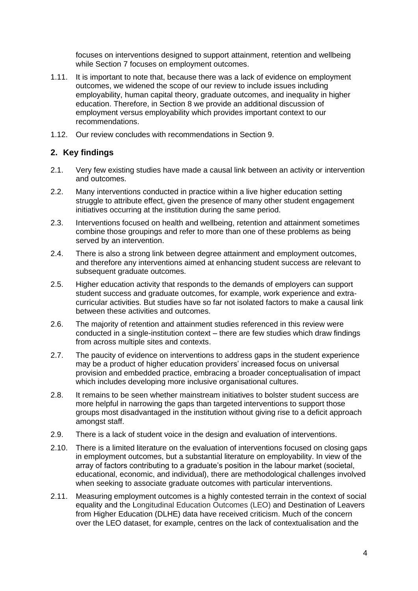focuses on interventions designed to support attainment, retention and wellbeing while Section 7 focuses on employment outcomes.

- 1.11. It is important to note that, because there was a lack of evidence on employment outcomes, we widened the scope of our review to include issues including employability, human capital theory, graduate outcomes, and inequality in higher education. Therefore, in Section 8 we provide an additional discussion of employment versus employability which provides important context to our recommendations.
- 1.12. Our review concludes with recommendations in Section 9.

## <span id="page-3-0"></span>**2. Key findings**

- 2.1. Very few existing studies have made a causal link between an activity or intervention and outcomes.
- 2.2. Many interventions conducted in practice within a live higher education setting struggle to attribute effect, given the presence of many other student engagement initiatives occurring at the institution during the same period.
- 2.3. Interventions focused on health and wellbeing, retention and attainment sometimes combine those groupings and refer to more than one of these problems as being served by an intervention.
- 2.4. There is also a strong link between degree attainment and employment outcomes, and therefore any interventions aimed at enhancing student success are relevant to subsequent graduate outcomes.
- 2.5. Higher education activity that responds to the demands of employers can support student success and graduate outcomes, for example, work experience and extracurricular activities. But studies have so far not isolated factors to make a causal link between these activities and outcomes.
- 2.6. The majority of retention and attainment studies referenced in this review were conducted in a single-institution context – there are few studies which draw findings from across multiple sites and contexts.
- 2.7. The paucity of evidence on interventions to address gaps in the student experience may be a product of higher education providers' increased focus on universal provision and embedded practice, embracing a broader conceptualisation of impact which includes developing more inclusive organisational cultures.
- 2.8. It remains to be seen whether mainstream initiatives to bolster student success are more helpful in narrowing the gaps than targeted interventions to support those groups most disadvantaged in the institution without giving rise to a deficit approach amongst staff.
- 2.9. There is a lack of student voice in the design and evaluation of interventions.
- 2.10. There is a limited literature on the evaluation of interventions focused on closing gaps in employment outcomes, but a substantial literature on employability. In view of the array of factors contributing to a graduate's position in the labour market (societal, educational, economic, and individual), there are methodological challenges involved when seeking to associate graduate outcomes with particular interventions.
- 2.11. Measuring employment outcomes is a highly contested terrain in the context of social equality and the Longitudinal Education Outcomes (LEO) and Destination of Leavers from Higher Education (DLHE) data have received criticism. Much of the concern over the LEO dataset, for example, centres on the lack of contextualisation and the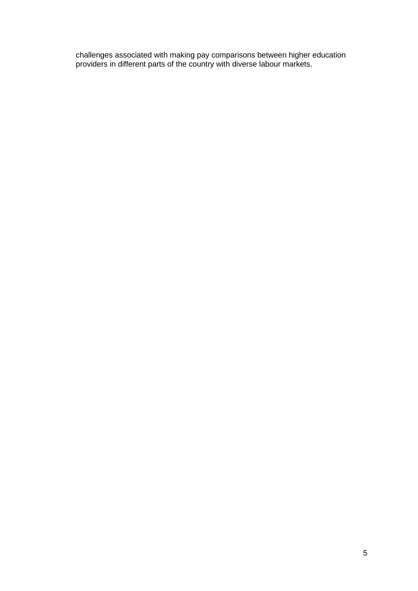challenges associated with making pay comparisons between higher education providers in different parts of the country with diverse labour markets.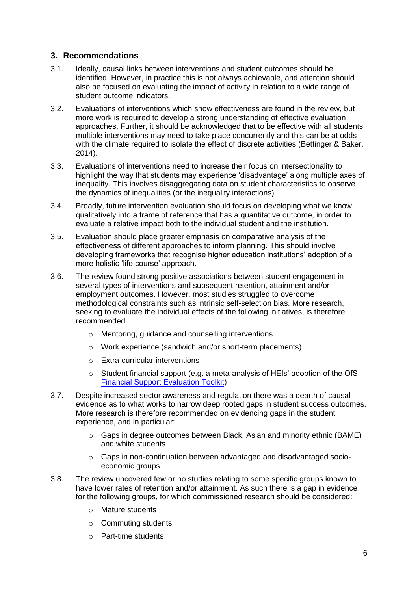## <span id="page-5-0"></span>**3. Recommendations**

- 3.1. Ideally, causal links between interventions and student outcomes should be identified. However, in practice this is not always achievable, and attention should also be focused on evaluating the impact of activity in relation to a wide range of student outcome indicators.
- 3.2. Evaluations of interventions which show effectiveness are found in the review, but more work is required to develop a strong understanding of effective evaluation approaches. Further, it should be acknowledged that to be effective with all students, multiple interventions may need to take place concurrently and this can be at odds with the climate required to isolate the effect of discrete activities (Bettinger & Baker, 2014).
- 3.3. Evaluations of interventions need to increase their focus on intersectionality to highlight the way that students may experience 'disadvantage' along multiple axes of inequality. This involves disaggregating data on student characteristics to observe the dynamics of inequalities (or the inequality interactions).
- 3.4. Broadly, future intervention evaluation should focus on developing what we know qualitatively into a frame of reference that has a quantitative outcome, in order to evaluate a relative impact both to the individual student and the institution.
- 3.5. Evaluation should place greater emphasis on comparative analysis of the effectiveness of different approaches to inform planning. This should involve developing frameworks that recognise higher education institutions' adoption of a more holistic 'life course' approach.
- 3.6. The review found strong positive associations between student engagement in several types of interventions and subsequent retention, attainment and/or employment outcomes. However, most studies struggled to overcome methodological constraints such as intrinsic self-selection bias. More research, seeking to evaluate the individual effects of the following initiatives, is therefore recommended:
	- o Mentoring, guidance and counselling interventions
	- o Work experience (sandwich and/or short-term placements)
	- o Extra-curricular interventions
	- o Student financial support (e.g. a meta-analysis of HEIs' adoption of the OfS [Financial Support Evaluation Toolkit\)](https://www.officeforstudents.org.uk/advice-and-guidance/promoting-equal-opportunities/evaluation-and-effective-practice/financial-support-evaluation-toolkit/)
- 3.7. Despite increased sector awareness and regulation there was a dearth of causal evidence as to what works to narrow deep rooted gaps in student success outcomes. More research is therefore recommended on evidencing gaps in the student experience, and in particular:
	- $\circ$  Gaps in degree outcomes between Black, Asian and minority ethnic (BAME) and white students
	- $\circ$  Gaps in non-continuation between advantaged and disadvantaged socioeconomic groups
- 3.8. The review uncovered few or no studies relating to some specific groups known to have lower rates of retention and/or attainment. As such there is a gap in evidence for the following groups, for which commissioned research should be considered:
	- o Mature students
	- o Commuting students
	- o Part-time students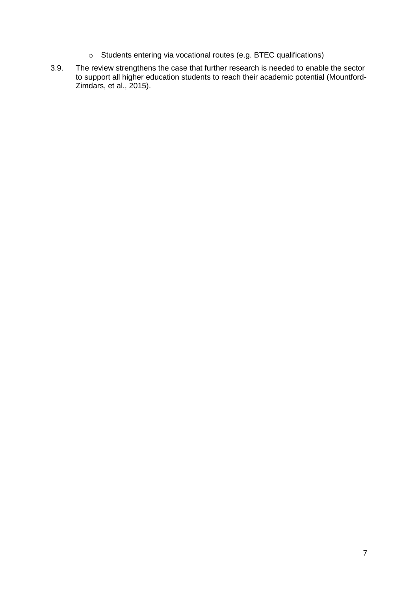- o Students entering via vocational routes (e.g. BTEC qualifications)
- 3.9. The review strengthens the case that further research is needed to enable the sector to support all higher education students to reach their academic potential (Mountford-Zimdars, et al., 2015).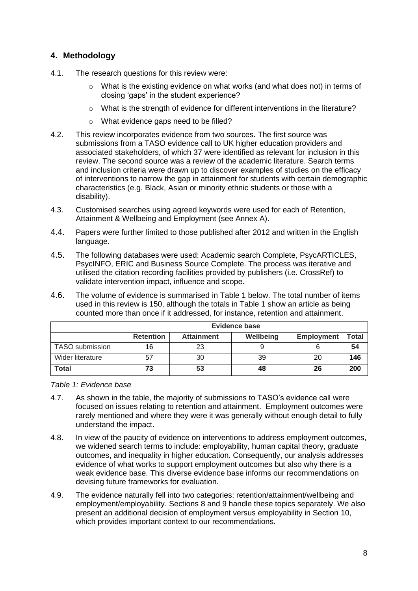## <span id="page-7-0"></span>**4. Methodology**

- 4.1. The research questions for this review were:
	- $\circ$  What is the existing evidence on what works (and what does not) in terms of closing 'gaps' in the student experience?
	- $\circ$  What is the strength of evidence for different interventions in the literature?
	- o What evidence gaps need to be filled?
- 4.2. This review incorporates evidence from two sources. The first source was submissions from a TASO evidence call to UK higher education providers and associated stakeholders, of which 37 were identified as relevant for inclusion in this review. The second source was a review of the academic literature. Search terms and inclusion criteria were drawn up to discover examples of studies on the efficacy of interventions to narrow the gap in attainment for students with certain demographic characteristics (e.g. Black, Asian or minority ethnic students or those with a disability).
- 4.3. Customised searches using agreed keywords were used for each of Retention, Attainment & Wellbeing and Employment (see Annex A).
- 4.4. Papers were further limited to those published after 2012 and written in the English language.
- 4.5. The following databases were used: Academic search Complete, PsycARTICLES, PsycINFO, ERIC and Business Source Complete. The process was iterative and utilised the citation recording facilities provided by publishers (i.e. CrossRef) to validate intervention impact, influence and scope.
- 4.6. The volume of evidence is summarised in Table 1 below. The total number of items used in this review is 150, although the totals in Table 1 show an article as being counted more than once if it addressed, for instance, retention and attainment.

|                  | <b>Evidence base</b> |                   |           |                   |              |
|------------------|----------------------|-------------------|-----------|-------------------|--------------|
|                  | <b>Retention</b>     | <b>Attainment</b> | Wellbeing | <b>Employment</b> | <b>Total</b> |
| TASO submission  | 16                   |                   |           |                   | 54           |
| Wider literature | 57                   | 30                | 39        | 20                | 146          |
| <b>Total</b>     | 73                   | 53                | 48        | 26                | 200          |

*Table 1: Evidence base*

- 4.7. As shown in the table, the majority of submissions to TASO's evidence call were focused on issues relating to retention and attainment. Employment outcomes were rarely mentioned and where they were it was generally without enough detail to fully understand the impact.
- 4.8. In view of the paucity of evidence on interventions to address employment outcomes, we widened search terms to include: employability, human capital theory, graduate outcomes, and inequality in higher education. Consequently, our analysis addresses evidence of what works to support employment outcomes but also why there is a weak evidence base. This diverse evidence base informs our recommendations on devising future frameworks for evaluation.
- 4.9. The evidence naturally fell into two categories: retention/attainment/wellbeing and employment/employability. Sections 8 and 9 handle these topics separately. We also present an additional decision of employment versus employability in Section 10, which provides important context to our recommendations.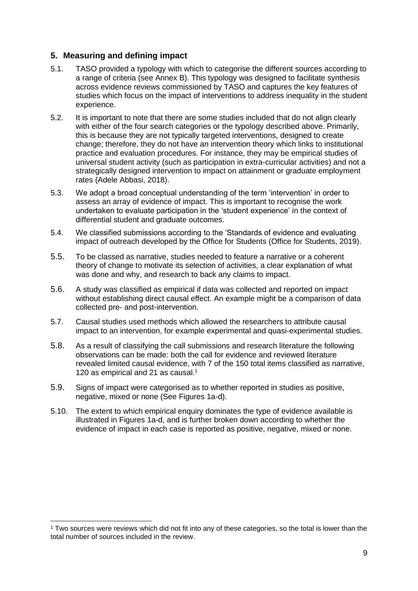## <span id="page-8-0"></span>**5. Measuring and defining impact**

- 5.1. TASO provided a typology with which to categorise the different sources according to a range of criteria (see Annex B). This typology was designed to facilitate synthesis across evidence reviews commissioned by TASO and captures the key features of studies which focus on the impact of interventions to address inequality in the student experience.
- 5.2. It is important to note that there are some studies included that do not align clearly with either of the four search categories or the typology described above. Primarily, this is because they are not typically targeted interventions, designed to create change; therefore, they do not have an intervention theory which links to institutional practice and evaluation procedures. For instance, they may be empirical studies of universal student activity (such as participation in extra-curricular activities) and not a strategically designed intervention to impact on attainment or graduate employment rates (Adele Abbasi, 2018).
- 5.3. We adopt a broad conceptual understanding of the term 'intervention' in order to assess an array of evidence of impact. This is important to recognise the work undertaken to evaluate participation in the 'student experience' in the context of differential student and graduate outcomes.
- 5.4. We classified submissions according to the 'Standards of evidence and evaluating impact of outreach developed by the Office for Students (Office for Students, 2019).
- 5.5. To be classed as narrative, studies needed to feature a narrative or a coherent theory of change to motivate its selection of activities, a clear explanation of what was done and why, and research to back any claims to impact.
- 5.6. A study was classified as empirical if data was collected and reported on impact without establishing direct causal effect. An example might be a comparison of data collected pre- and post-intervention.
- 5.7. Causal studies used methods which allowed the researchers to attribute causal impact to an intervention, for example experimental and quasi-experimental studies.
- 5.8. As a result of classifying the call submissions and research literature the following observations can be made: both the call for evidence and reviewed literature revealed limited causal evidence, with 7 of the 150 total items classified as narrative, 120 as empirical and 21 as causal.<sup>1</sup>
- 5.9. Signs of impact were categorised as to whether reported in studies as positive, negative, mixed or none (See Figures 1a-d).
- 5.10. The extent to which empirical enquiry dominates the type of evidence available is illustrated in Figures 1a-d, and is further broken down according to whether the evidence of impact in each case is reported as positive, negative, mixed or none.

<sup>1</sup> Two sources were reviews which did not fit into any of these categories, so the total is lower than the total number of sources included in the review.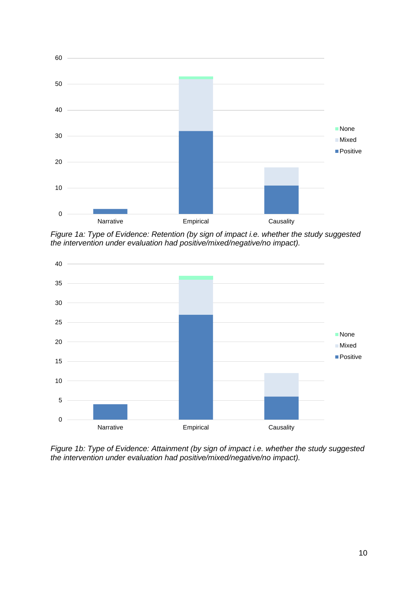

*Figure 1a: Type of Evidence: Retention (by sign of impact i.e. whether the study suggested the intervention under evaluation had positive/mixed/negative/no impact).*



*Figure 1b: Type of Evidence: Attainment (by sign of impact i.e. whether the study suggested the intervention under evaluation had positive/mixed/negative/no impact).*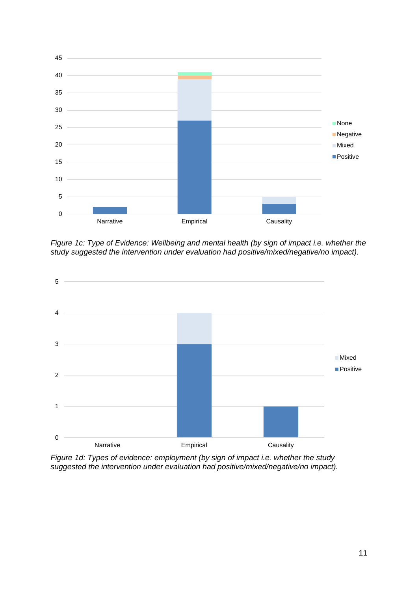

*Figure 1c: Type of Evidence: Wellbeing and mental health (by sign of impact i.e. whether the study suggested the intervention under evaluation had positive/mixed/negative/no impact).*



*Figure 1d: Types of evidence: employment (by sign of impact i.e. whether the study suggested the intervention under evaluation had positive/mixed/negative/no impact).*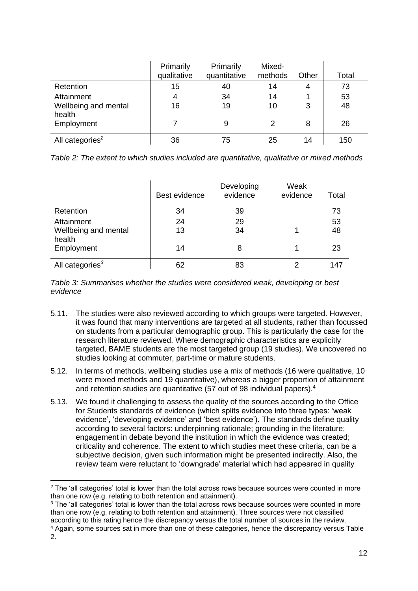|                                                            | Primarily<br>qualitative | Primarily<br>quantitative | Mixed-<br>methods | Other  | Total          |
|------------------------------------------------------------|--------------------------|---------------------------|-------------------|--------|----------------|
| Retention                                                  | 15                       | 40                        | 14                | 4      | 73             |
| Attainment<br>Wellbeing and mental<br>health<br>Employment | 4<br>16                  | 34<br>19<br>9             | 14<br>10<br>2     | 3<br>8 | 53<br>48<br>26 |
| All categories <sup>2</sup>                                | 36                       | 75                        | 25                | 14     | 150            |

*Table 2: The extent to which studies included are quantitative, qualitative or mixed methods*

|                                                                         | Best evidence        | Developing<br>evidence | Weak<br>evidence | Total                |
|-------------------------------------------------------------------------|----------------------|------------------------|------------------|----------------------|
| Retention<br>Attainment<br>Wellbeing and mental<br>health<br>Employment | 34<br>24<br>13<br>14 | 39<br>29<br>34<br>8    |                  | 73<br>53<br>48<br>23 |
| All categories <sup>3</sup>                                             | 62                   | 83                     |                  | 14,                  |

*Table 3: Summarises whether the studies were considered weak, developing or best evidence*

- 5.11. The studies were also reviewed according to which groups were targeted. However, it was found that many interventions are targeted at all students, rather than focussed on students from a particular demographic group. This is particularly the case for the research literature reviewed. Where demographic characteristics are explicitly targeted, BAME students are the most targeted group (19 studies). We uncovered no studies looking at commuter, part-time or mature students.
- 5.12. In terms of methods, wellbeing studies use a mix of methods (16 were qualitative, 10 were mixed methods and 19 quantitative), whereas a bigger proportion of attainment and retention studies are quantitative (57 out of 98 individual papers).<sup>4</sup>
- 5.13. We found it challenging to assess the quality of the sources according to the Office for Students standards of evidence (which splits evidence into three types: 'weak evidence', 'developing evidence' and 'best evidence'). The standards define quality according to several factors: underpinning rationale; grounding in the literature; engagement in debate beyond the institution in which the evidence was created; criticality and coherence. The extent to which studies meet these criteria, can be a subjective decision, given such information might be presented indirectly. Also, the review team were reluctant to 'downgrade' material which had appeared in quality

<sup>3</sup> The 'all categories' total is lower than the total across rows because sources were counted in more than one row (e.g. relating to both retention and attainment). Three sources were not classified according to this rating hence the discrepancy versus the total number of sources in the review.

<sup>&</sup>lt;sup>2</sup> The 'all categories' total is lower than the total across rows because sources were counted in more than one row (e.g. relating to both retention and attainment).

<sup>4</sup> Again, some sources sat in more than one of these categories, hence the discrepancy versus Table 2.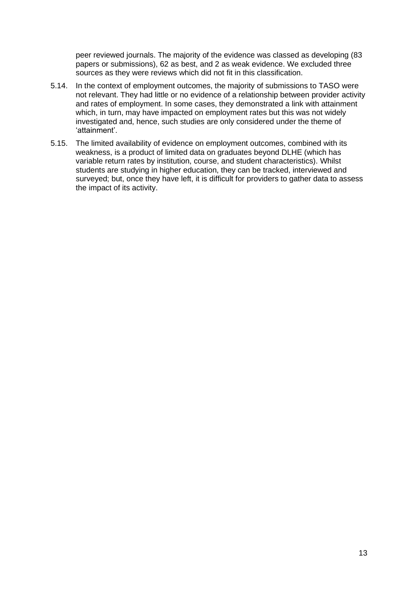peer reviewed journals. The majority of the evidence was classed as developing (83 papers or submissions), 62 as best, and 2 as weak evidence. We excluded three sources as they were reviews which did not fit in this classification.

- 5.14. In the context of employment outcomes, the majority of submissions to TASO were not relevant. They had little or no evidence of a relationship between provider activity and rates of employment. In some cases, they demonstrated a link with attainment which, in turn, may have impacted on employment rates but this was not widely investigated and, hence, such studies are only considered under the theme of 'attainment'.
- 5.15. The limited availability of evidence on employment outcomes, combined with its weakness, is a product of limited data on graduates beyond DLHE (which has variable return rates by institution, course, and student characteristics). Whilst students are studying in higher education, they can be tracked, interviewed and surveyed; but, once they have left, it is difficult for providers to gather data to assess the impact of its activity.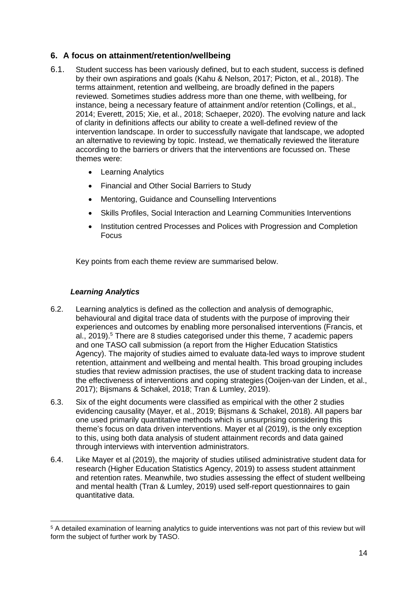## <span id="page-13-0"></span>**6. A focus on attainment/retention/wellbeing**

- 6.1. Student success has been variously defined, but to each student, success is defined by their own aspirations and goals (Kahu & Nelson, 2017; Picton, et al., 2018). The terms attainment, retention and wellbeing, are broadly defined in the papers reviewed. Sometimes studies address more than one theme, with wellbeing, for instance, being a necessary feature of attainment and/or retention (Collings, et al., 2014; Everett, 2015; Xie, et al., 2018; Schaeper, 2020). The evolving nature and lack of clarity in definitions affects our ability to create a well-defined review of the intervention landscape. In order to successfully navigate that landscape, we adopted an alternative to reviewing by topic. Instead, we thematically reviewed the literature according to the barriers or drivers that the interventions are focussed on. These themes were:
	- Learning Analytics
	- Financial and Other Social Barriers to Study
	- Mentoring, Guidance and Counselling Interventions
	- Skills Profiles, Social Interaction and Learning Communities Interventions
	- Institution centred Processes and Polices with Progression and Completion Focus

Key points from each theme review are summarised below.

## *Learning Analytics*

- <span id="page-13-1"></span>6.2. Learning analytics is defined as the collection and analysis of demographic, behavioural and digital trace data of students with the purpose of improving their experiences and outcomes by enabling more personalised interventions (Francis, et al., 2019). <sup>5</sup> There are 8 studies categorised under this theme, 7 academic papers and one TASO call submission (a report from the Higher Education Statistics Agency). The majority of studies aimed to evaluate data-led ways to improve student retention, attainment and wellbeing and mental health. This broad grouping includes studies that review admission practises, the use of student tracking data to increase the effectiveness of interventions and coping strategies (Ooijen-van der Linden, et al., 2017); Bijsmans & Schakel, 2018; Tran & Lumley, 2019).
- 6.3. Six of the eight documents were classified as empirical with the other 2 studies evidencing causality (Mayer, et al., 2019; Bijsmans & Schakel, 2018). All papers bar one used primarily quantitative methods which is unsurprising considering this theme's focus on data driven interventions. Mayer et al (2019), is the only exception to this, using both data analysis of student attainment records and data gained through interviews with intervention administrators.
- 6.4. Like Mayer et al (2019), the majority of studies utilised administrative student data for research (Higher Education Statistics Agency, 2019) to assess student attainment and retention rates. Meanwhile, two studies assessing the effect of student wellbeing and mental health (Tran & Lumley, 2019) used self-report questionnaires to gain quantitative data.

<sup>5</sup> A detailed examination of learning analytics to guide interventions was not part of this review but will form the subject of further work by TASO.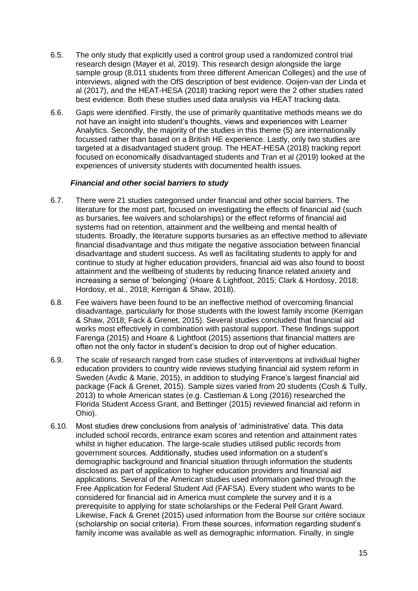- 6.5. The only study that explicitly used a control group used a randomized control trial research design (Mayer et al, 2019). This research design alongside the large sample group (8,011 students from three different American Colleges) and the use of interviews, aligned with the OfS description of best evidence. Ooijen-van der Linda et al (2017), and the HEAT-HESA (2018) tracking report were the 2 other studies rated best evidence. Both these studies used data analysis via HEAT tracking data.
- 6.6. Gaps were identified. Firstly, the use of primarily quantitative methods means we do not have an insight into student's thoughts, views and experiences with Learner Analytics. Secondly, the majority of the studies in this theme (5) are internationally focussed rather than based on a British HE experience. Lastly, only two studies are targeted at a disadvantaged student group. The HEAT-HESA (2018) tracking report focused on economically disadvantaged students and Tran et al (2019) looked at the experiences of university students with documented health issues.

#### *Financial and other social barriers to study*

- <span id="page-14-0"></span>6.7. There were 21 studies categorised under financial and other social barriers. The literature for the most part, focused on investigating the effects of financial aid (such as bursaries, fee waivers and scholarships) or the effect reforms of financial aid systems had on retention, attainment and the wellbeing and mental health of students. Broadly, the literature supports bursaries as an effective method to alleviate financial disadvantage and thus mitigate the negative association between financial disadvantage and student success. As well as facilitating students to apply for and continue to study at higher education providers, financial aid was also found to boost attainment and the wellbeing of students by reducing finance related anxiety and increasing a sense of 'belonging' (Hoare & Lightfoot, 2015; Clark & Hordosy, 2018; Hordosy, et al., 2018; Kerrigan & Shaw, 2018).
- 6.8. Fee waivers have been found to be an ineffective method of overcoming financial disadvantage, particularly for those students with the lowest family income (Kerrigan & Shaw, 2018; Fack & Grenet, 2015). Several studies concluded that financial aid works most effectively in combination with pastoral support. These findings support Farenga (2015) and Hoare & Lightfoot (2015) assertions that financial matters are often not the only factor in student's decision to drop out of higher education.
- 6.9. The scale of research ranged from case studies of interventions at individual higher education providers to country wide reviews studying financial aid system reform in Sweden (Avdic & Marie, 2015), in addition to studying France's largest financial aid package (Fack & Grenet, 2015). Sample sizes varied from 20 students (Cosh & Tully, 2013) to whole American states (e.g. Castleman & Long (2016) researched the Florida Student Access Grant, and Bettinger (2015) reviewed financial aid reform in Ohio).
- 6.10. Most studies drew conclusions from analysis of 'administrative' data. This data included school records, entrance exam scores and retention and attainment rates whilst in higher education. The large-scale studies utilised public records from government sources. Additionally, studies used information on a student's demographic background and financial situation through information the students disclosed as part of application to higher education providers and financial aid applications. Several of the American studies used information gained through the Free Application for Federal Student Aid (FAFSA). Every student who wants to be considered for financial aid in America must complete the survey and it is a prerequisite to applying for state scholarships or the Federal Pell Grant Award. Likewise, Fack & Grenet (2015) used information from the Bourse sur critère sociaux (scholarship on social criteria). From these sources, information regarding student's family income was available as well as demographic information. Finally, in single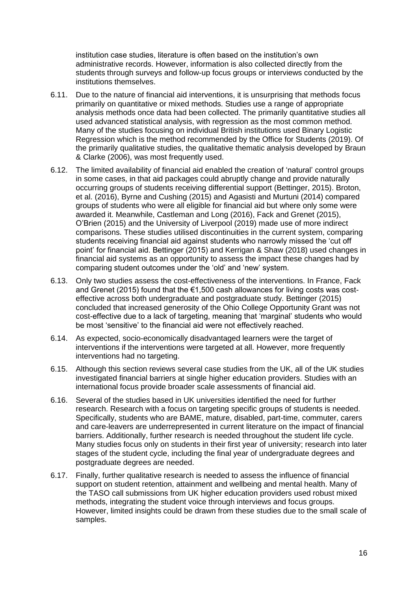institution case studies, literature is often based on the institution's own administrative records. However, information is also collected directly from the students through surveys and follow-up focus groups or interviews conducted by the institutions themselves.

- 6.11. Due to the nature of financial aid interventions, it is unsurprising that methods focus primarily on quantitative or mixed methods. Studies use a range of appropriate analysis methods once data had been collected. The primarily quantitative studies all used advanced statistical analysis, with regression as the most common method. Many of the studies focusing on individual British institutions used Binary Logistic Regression which is the method recommended by the Office for Students (2019). Of the primarily qualitative studies, the qualitative thematic analysis developed by Braun & Clarke (2006), was most frequently used.
- 6.12. The limited availability of financial aid enabled the creation of 'natural' control groups in some cases, in that aid packages could abruptly change and provide naturally occurring groups of students receiving differential support (Bettinger, 2015). Broton, et al. (2016), Byrne and Cushing (2015) and Agasisti and Murtuni (2014) compared groups of students who were all eligible for financial aid but where only some were awarded it. Meanwhile, Castleman and Long (2016), Fack and Grenet (2015), O'Brien (2015) and the University of Liverpool (2019) made use of more indirect comparisons. These studies utilised discontinuities in the current system, comparing students receiving financial aid against students who narrowly missed the 'cut off point' for financial aid. Bettinger (2015) and Kerrigan & Shaw (2018) used changes in financial aid systems as an opportunity to assess the impact these changes had by comparing student outcomes under the 'old' and 'new' system.
- 6.13. Only two studies assess the cost-effectiveness of the interventions. In France, Fack and Grenet (2015) found that the €1,500 cash allowances for living costs was costeffective across both undergraduate and postgraduate study. Bettinger (2015) concluded that increased generosity of the Ohio College Opportunity Grant was not cost-effective due to a lack of targeting, meaning that 'marginal' students who would be most 'sensitive' to the financial aid were not effectively reached.
- 6.14. As expected, socio-economically disadvantaged learners were the target of interventions if the interventions were targeted at all. However, more frequently interventions had no targeting.
- 6.15. Although this section reviews several case studies from the UK, all of the UK studies investigated financial barriers at single higher education providers. Studies with an international focus provide broader scale assessments of financial aid.
- 6.16. Several of the studies based in UK universities identified the need for further research. Research with a focus on targeting specific groups of students is needed. Specifically, students who are BAME, mature, disabled, part-time, commuter, carers and care-leavers are underrepresented in current literature on the impact of financial barriers. Additionally, further research is needed throughout the student life cycle. Many studies focus only on students in their first year of university; research into later stages of the student cycle, including the final year of undergraduate degrees and postgraduate degrees are needed.
- 6.17. Finally, further qualitative research is needed to assess the influence of financial support on student retention, attainment and wellbeing and mental health. Many of the TASO call submissions from UK higher education providers used robust mixed methods, integrating the student voice through interviews and focus groups. However, limited insights could be drawn from these studies due to the small scale of samples.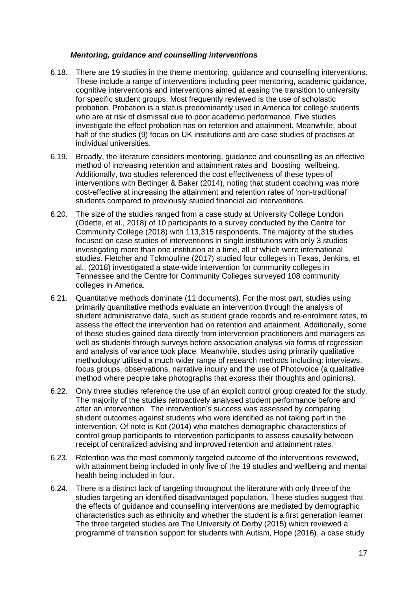#### *Mentoring, guidance and counselling interventions*

- <span id="page-16-0"></span>6.18. There are 19 studies in the theme mentoring, guidance and counselling interventions. These include a range of interventions including peer mentoring, academic guidance, cognitive interventions and interventions aimed at easing the transition to university for specific student groups. Most frequently reviewed is the use of scholastic probation. Probation is a status predominantly used in America for college students who are at risk of dismissal due to poor academic performance. Five studies investigate the effect probation has on retention and attainment. Meanwhile, about half of the studies (9) focus on UK institutions and are case studies of practises at individual universities.
- 6.19. Broadly, the literature considers mentoring, guidance and counselling as an effective method of increasing retention and attainment rates and boosting wellbeing. Additionally, two studies referenced the cost effectiveness of these types of interventions with Bettinger & Baker (2014), noting that student coaching was more cost-effective at increasing the attainment and retention rates of 'non-traditional' students compared to previously studied financial aid interventions.
- 6.20. The size of the studies ranged from a case study at University College London (Odette, et al., 2018) of 10 participants to a survey conducted by the Centre for Community College (2018) with 113,315 respondents. The majority of the studies focused on case studies of interventions in single institutions with only 3 studies investigating more than one institution at a time, all of which were international studies. Fletcher and Tokmouline (2017) studied four colleges in Texas, Jenkins, et al., (2018) investigated a state-wide intervention for community colleges in Tennessee and the Centre for Community Colleges surveyed 108 community colleges in America.
- 6.21. Quantitative methods dominate (11 documents). For the most part, studies using primarily quantitative methods evaluate an intervention through the analysis of student administrative data, such as student grade records and re-enrolment rates, to assess the effect the intervention had on retention and attainment. Additionally, some of these studies gained data directly from intervention practitioners and managers as well as students through surveys before association analysis via forms of regression and analysis of variance took place. Meanwhile, studies using primarily qualitative methodology utilised a much wider range of research methods including: interviews, focus groups, observations, narrative inquiry and the use of Photovoice (a qualitative method where people take photographs that express their thoughts and opinions).
- 6.22. Only three studies reference the use of an explicit control group created for the study. The majority of the studies retroactively analysed student performance before and after an intervention. The intervention's success was assessed by comparing student outcomes against students who were identified as not taking part in the intervention. Of note is Kot (2014) who matches demographic characteristics of control group participants to intervention participants to assess causality between receipt of centralized advising and improved retention and attainment rates.
- 6.23. Retention was the most commonly targeted outcome of the interventions reviewed, with attainment being included in only five of the 19 studies and wellbeing and mental health being included in four.
- 6.24. There is a distinct lack of targeting throughout the literature with only three of the studies targeting an identified disadvantaged population. These studies suggest that the effects of guidance and counselling interventions are mediated by demographic characteristics such as ethnicity and whether the student is a first generation learner. The three targeted studies are The University of Derby (2015) which reviewed a programme of transition support for students with Autism, Hope (2016), a case study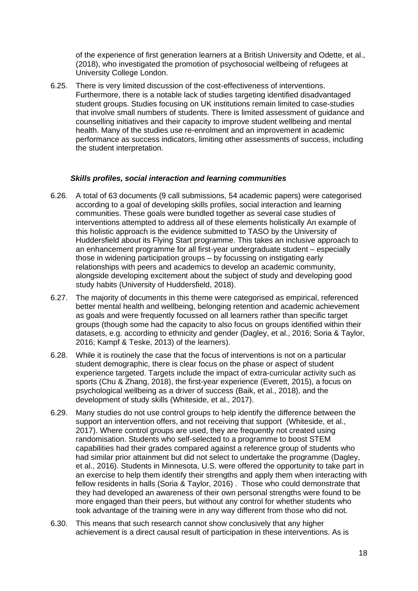of the experience of first generation learners at a British University and Odette, et al., (2018), who investigated the promotion of psychosocial wellbeing of refugees at University College London.

6.25. There is very limited discussion of the cost-effectiveness of interventions. Furthermore, there is a notable lack of studies targeting identified disadvantaged student groups. Studies focusing on UK institutions remain limited to case-studies that involve small numbers of students. There is limited assessment of guidance and counselling initiatives and their capacity to improve student wellbeing and mental health. Many of the studies use re-enrolment and an improvement in academic performance as success indicators, limiting other assessments of success, including the student interpretation.

#### *Skills profiles, social interaction and learning communities*

- <span id="page-17-0"></span>6.26. A total of 63 documents (9 call submissions, 54 academic papers) were categorised according to a goal of developing skills profiles, social interaction and learning communities. These goals were bundled together as several case studies of interventions attempted to address all of these elements holistically An example of this holistic approach is the evidence submitted to TASO by the University of Huddersfield about its Flying Start programme. This takes an inclusive approach to an enhancement programme for all first-year undergraduate student – especially those in widening participation groups – by focussing on instigating early relationships with peers and academics to develop an academic community, alongside developing excitement about the subject of study and developing good study habits (University of Huddersfield, 2018).
- 6.27. The majority of documents in this theme were categorised as empirical, referenced better mental health and wellbeing, belonging retention and academic achievement as goals and were frequently focussed on all learners rather than specific target groups (though some had the capacity to also focus on groups identified within their datasets, e.g. according to ethnicity and gender (Dagley, et al., 2016; Soria & Taylor, 2016; Kampf & Teske, 2013) of the learners).
- 6.28. While it is routinely the case that the focus of interventions is not on a particular student demographic, there is clear focus on the phase or aspect of student experience targeted. Targets include the impact of extra-curricular activity such as sports (Chu & Zhang, 2018), the first-year experience (Everett, 2015), a focus on psychological wellbeing as a driver of success (Baik, et al., 2018), and the development of study skills (Whiteside, et al., 2017).
- 6.29. Many studies do not use control groups to help identify the difference between the support an intervention offers, and not receiving that support (Whiteside, et al., 2017). Where control groups are used, they are frequently not created using randomisation. Students who self-selected to a programme to boost STEM capabilities had their grades compared against a reference group of students who had similar prior attainment but did not select to undertake the programme (Dagley, et al., 2016). Students in Minnesota, U.S. were offered the opportunity to take part in an exercise to help them identify their strengths and apply them when interacting with fellow residents in halls (Soria & Taylor, 2016) . Those who could demonstrate that they had developed an awareness of their own personal strengths were found to be more engaged than their peers, but without any control for whether students who took advantage of the training were in any way different from those who did not.
- 6.30. This means that such research cannot show conclusively that any higher achievement is a direct causal result of participation in these interventions. As is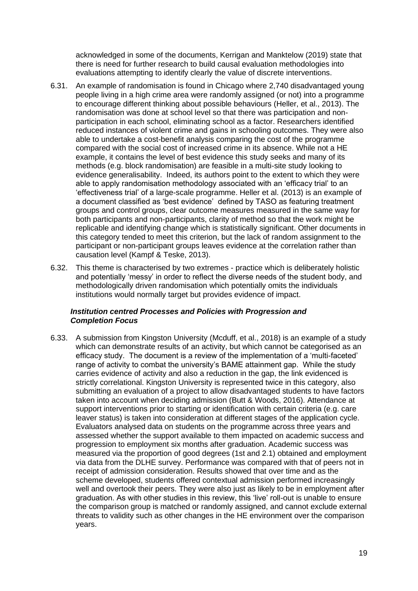acknowledged in some of the documents, Kerrigan and Manktelow (2019) state that there is need for further research to build causal evaluation methodologies into evaluations attempting to identify clearly the value of discrete interventions.

- 6.31. An example of randomisation is found in Chicago where 2,740 disadvantaged young people living in a high crime area were randomly assigned (or not) into a programme to encourage different thinking about possible behaviours (Heller, et al., 2013). The randomisation was done at school level so that there was participation and nonparticipation in each school, eliminating school as a factor. Researchers identified reduced instances of violent crime and gains in schooling outcomes. They were also able to undertake a cost-benefit analysis comparing the cost of the programme compared with the social cost of increased crime in its absence. While not a HE example, it contains the level of best evidence this study seeks and many of its methods (e.g. block randomisation) are feasible in a multi-site study looking to evidence generalisability. Indeed, its authors point to the extent to which they were able to apply randomisation methodology associated with an 'efficacy trial' to an 'effectiveness trial' of a large-scale programme. Heller et al. (2013) is an example of a document classified as 'best evidence' defined by TASO as featuring treatment groups and control groups, clear outcome measures measured in the same way for both participants and non-participants, clarity of method so that the work might be replicable and identifying change which is statistically significant. Other documents in this category tended to meet this criterion, but the lack of random assignment to the participant or non-participant groups leaves evidence at the correlation rather than causation level (Kampf & Teske, 2013).
- 6.32. This theme is characterised by two extremes practice which is deliberately holistic and potentially 'messy' in order to reflect the diverse needs of the student body, and methodologically driven randomisation which potentially omits the individuals institutions would normally target but provides evidence of impact.

#### <span id="page-18-0"></span>*Institution centred Processes and Policies with Progression and Completion Focus*

6.33. A submission from Kingston University (Mcduff, et al., 2018) is an example of a study which can demonstrate results of an activity, but which cannot be categorised as an efficacy study. The document is a review of the implementation of a 'multi-faceted' range of activity to combat the university's BAME attainment gap. While the study carries evidence of activity and also a reduction in the gap, the link evidenced is strictly correlational. Kingston University is represented twice in this category, also submitting an evaluation of a project to allow disadvantaged students to have factors taken into account when deciding admission (Butt & Woods, 2016). Attendance at support interventions prior to starting or identification with certain criteria (e.g. care leaver status) is taken into consideration at different stages of the application cycle. Evaluators analysed data on students on the programme across three years and assessed whether the support available to them impacted on academic success and progression to employment six months after graduation. Academic success was measured via the proportion of good degrees (1st and 2.1) obtained and employment via data from the DLHE survey. Performance was compared with that of peers not in receipt of admission consideration. Results showed that over time and as the scheme developed, students offered contextual admission performed increasingly well and overtook their peers. They were also just as likely to be in employment after graduation. As with other studies in this review, this 'live' roll-out is unable to ensure the comparison group is matched or randomly assigned, and cannot exclude external threats to validity such as other changes in the HE environment over the comparison years.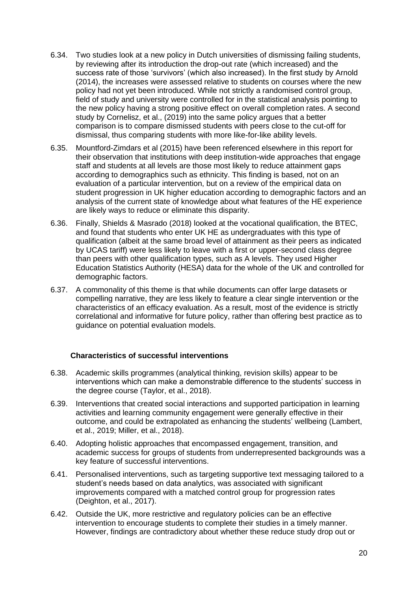- 6.34. Two studies look at a new policy in Dutch universities of dismissing failing students, by reviewing after its introduction the drop-out rate (which increased) and the success rate of those 'survivors' (which also increased). In the first study by Arnold (2014), the increases were assessed relative to students on courses where the new policy had not yet been introduced. While not strictly a randomised control group, field of study and university were controlled for in the statistical analysis pointing to the new policy having a strong positive effect on overall completion rates. A second study by Cornelisz, et al., (2019) into the same policy argues that a better comparison is to compare dismissed students with peers close to the cut-off for dismissal, thus comparing students with more like-for-like ability levels.
- 6.35. Mountford-Zimdars et al (2015) have been referenced elsewhere in this report for their observation that institutions with deep institution-wide approaches that engage staff and students at all levels are those most likely to reduce attainment gaps according to demographics such as ethnicity. This finding is based, not on an evaluation of a particular intervention, but on a review of the empirical data on student progression in UK higher education according to demographic factors and an analysis of the current state of knowledge about what features of the HE experience are likely ways to reduce or eliminate this disparity.
- 6.36. Finally, Shields & Masrado (2018) looked at the vocational qualification, the BTEC, and found that students who enter UK HE as undergraduates with this type of qualification (albeit at the same broad level of attainment as their peers as indicated by UCAS tariff) were less likely to leave with a first or upper-second class degree than peers with other qualification types, such as A levels. They used Higher Education Statistics Authority (HESA) data for the whole of the UK and controlled for demographic factors.
- 6.37. A commonality of this theme is that while documents can offer large datasets or compelling narrative, they are less likely to feature a clear single intervention or the characteristics of an efficacy evaluation. As a result, most of the evidence is strictly correlational and informative for future policy, rather than offering best practice as to guidance on potential evaluation models.

#### <span id="page-19-0"></span>**Characteristics of successful interventions**

- 6.38. Academic skills programmes (analytical thinking, revision skills) appear to be interventions which can make a demonstrable difference to the students' success in the degree course (Taylor, et al., 2018).
- 6.39. Interventions that created social interactions and supported participation in learning activities and learning community engagement were generally effective in their outcome, and could be extrapolated as enhancing the students' wellbeing (Lambert, et al., 2019; Miller, et al., 2018).
- 6.40. Adopting holistic approaches that encompassed engagement, transition, and academic success for groups of students from underrepresented backgrounds was a key feature of successful interventions.
- 6.41. Personalised interventions, such as targeting supportive text messaging tailored to a student's needs based on data analytics, was associated with significant improvements compared with a matched control group for progression rates (Deighton, et al., 2017).
- 6.42. Outside the UK, more restrictive and regulatory policies can be an effective intervention to encourage students to complete their studies in a timely manner. However, findings are contradictory about whether these reduce study drop out or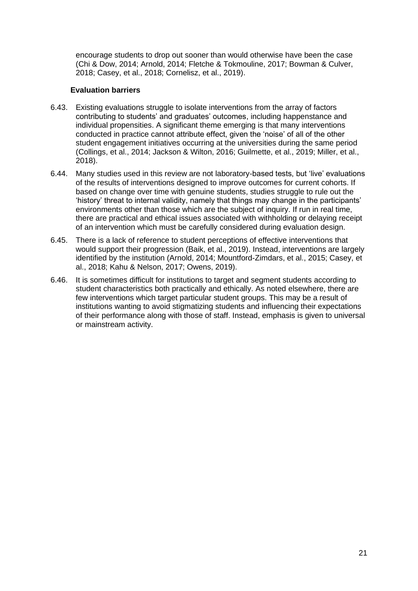encourage students to drop out sooner than would otherwise have been the case (Chi & Dow, 2014; Arnold, 2014; Fletche & Tokmouline, 2017; Bowman & Culver, 2018; Casey, et al., 2018; Cornelisz, et al., 2019).

#### **Evaluation barriers**

- <span id="page-20-0"></span>6.43. Existing evaluations struggle to isolate interventions from the array of factors contributing to students' and graduates' outcomes, including happenstance and individual propensities. A significant theme emerging is that many interventions conducted in practice cannot attribute effect, given the 'noise' of all of the other student engagement initiatives occurring at the universities during the same period (Collings, et al., 2014; Jackson & Wilton, 2016; Guilmette, et al., 2019; Miller, et al., 2018).
- 6.44. Many studies used in this review are not laboratory-based tests, but 'live' evaluations of the results of interventions designed to improve outcomes for current cohorts. If based on change over time with genuine students, studies struggle to rule out the 'history' threat to internal validity, namely that things may change in the participants' environments other than those which are the subject of inquiry. If run in real time, there are practical and ethical issues associated with withholding or delaying receipt of an intervention which must be carefully considered during evaluation design.
- 6.45. There is a lack of reference to student perceptions of effective interventions that would support their progression (Baik, et al., 2019). Instead, interventions are largely identified by the institution (Arnold, 2014; Mountford-Zimdars, et al., 2015; Casey, et al., 2018; Kahu & Nelson, 2017; Owens, 2019).
- 6.46. It is sometimes difficult for institutions to target and segment students according to student characteristics both practically and ethically. As noted elsewhere, there are few interventions which target particular student groups. This may be a result of institutions wanting to avoid stigmatizing students and influencing their expectations of their performance along with those of staff. Instead, emphasis is given to universal or mainstream activity.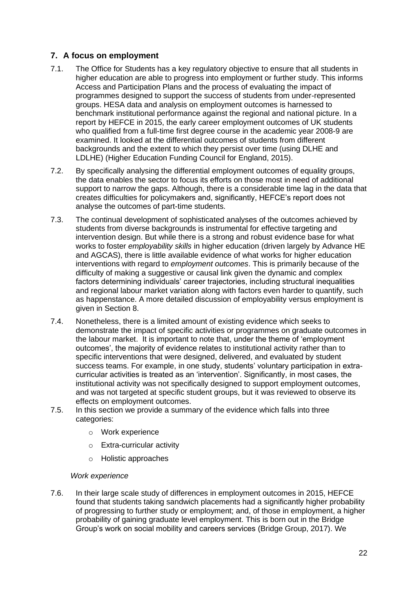## <span id="page-21-0"></span>**7. A focus on employment**

- 7.1. The Office for Students has a key regulatory objective to ensure that all students in higher education are able to progress into employment or further study. This informs Access and Participation Plans and the process of evaluating the impact of programmes designed to support the success of students from under-represented groups. HESA data and analysis on employment outcomes is harnessed to benchmark institutional performance against the regional and national picture. In a report by HEFCE in 2015, the early career employment outcomes of UK students who qualified from a full-time first degree course in the academic year 2008-9 are examined. It looked at the differential outcomes of students from different backgrounds and the extent to which they persist over time (using DLHE and LDLHE) (Higher Education Funding Council for England, 2015).
- 7.2. By specifically analysing the differential employment outcomes of equality groups, the data enables the sector to focus its efforts on those most in need of additional support to narrow the gaps. Although, there is a considerable time lag in the data that creates difficulties for policymakers and, significantly, HEFCE's report does not analyse the outcomes of part-time students.
- 7.3. The continual development of sophisticated analyses of the outcomes achieved by students from diverse backgrounds is instrumental for effective targeting and intervention design. But while there is a strong and robust evidence base for what works to foster *employability skills* in higher education (driven largely by Advance HE and AGCAS), there is little available evidence of what works for higher education interventions with regard to *employment outcomes*. This is primarily because of the difficulty of making a suggestive or causal link given the dynamic and complex factors determining individuals' career trajectories, including structural inequalities and regional labour market variation along with factors even harder to quantify, such as happenstance. A more detailed discussion of employability versus employment is given in Section 8.
- 7.4. Nonetheless, there is a limited amount of existing evidence which seeks to demonstrate the impact of specific activities or programmes on graduate outcomes in the labour market. It is important to note that, under the theme of 'employment outcomes', the majority of evidence relates to institutional activity rather than to specific interventions that were designed, delivered, and evaluated by student success teams. For example, in one study, students' voluntary participation in extracurricular activities is treated as an 'intervention'. Significantly, in most cases, the institutional activity was not specifically designed to support employment outcomes, and was not targeted at specific student groups, but it was reviewed to observe its effects on employment outcomes.
- 7.5. In this section we provide a summary of the evidence which falls into three categories:
	- o Work experience
	- o Extra-curricular activity
	- o Holistic approaches

#### <span id="page-21-1"></span>*Work experience*

7.6. In their large scale study of differences in employment outcomes in 2015, HEFCE found that students taking sandwich placements had a significantly higher probability of progressing to further study or employment; and, of those in employment, a higher probability of gaining graduate level employment. This is born out in the Bridge Group's work on social mobility and careers services (Bridge Group, 2017). We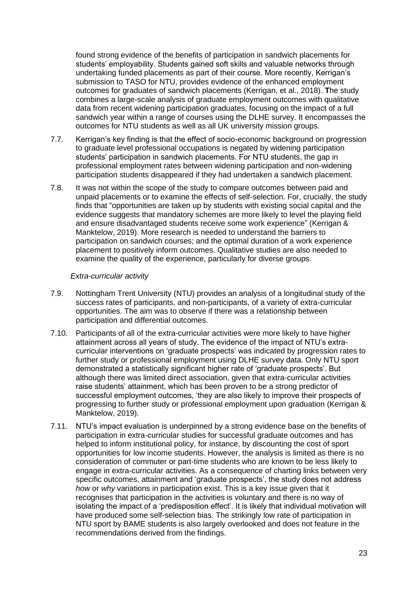found strong evidence of the benefits of participation in sandwich placements for students' employability. Students gained soft skills and valuable networks through undertaking funded placements as part of their course. More recently, Kerrigan's submission to TASO for NTU, provides evidence of the enhanced employment outcomes for graduates of sandwich placements (Kerrigan, et al., 2018). **T**he study combines a large-scale analysis of graduate employment outcomes with qualitative data from recent widening participation graduates, focusing on the impact of a full sandwich year within a range of courses using the DLHE survey. It encompasses the outcomes for NTU students as well as all UK university mission groups.

- 7.7. Kerrigan's key finding is that the effect of socio-economic background on progression to graduate level professional occupations is negated by widening participation students' participation in sandwich placements. For NTU students, the gap in professional employment rates between widening participation and non-widening participation students disappeared if they had undertaken a sandwich placement.
- 7.8. It was not within the scope of the study to compare outcomes between paid and unpaid placements or to examine the effects of self-selection. For, crucially, the study finds that "opportunities are taken up by students with existing social capital and the evidence suggests that mandatory schemes are more likely to level the playing field and ensure disadvantaged students receive some work experience" (Kerrigan & Manktelow, 2019). More research is needed to understand the barriers to participation on sandwich courses; and the optimal duration of a work experience placement to positively inform outcomes. Qualitative studies are also needed to examine the quality of the experience, particularly for diverse groups.

#### *Extra-curricular activity*

- <span id="page-22-0"></span>7.9. Nottingham Trent University (NTU) provides an analysis of a longitudinal study of the success rates of participants, and non-participants, of a variety of extra-curricular opportunities. The aim was to observe if there was a relationship between participation and differential outcomes.
- 7.10. Participants of all of the extra-curricular activities were more likely to have higher attainment across all years of study. The evidence of the impact of NTU's extracurricular interventions on 'graduate prospects' was indicated by progression rates to further study or professional employment using DLHE survey data. Only NTU sport demonstrated a statistically significant higher rate of 'graduate prospects'. But although there was limited direct association, given that extra-curricular activities raise students' attainment, which has been proven to be a strong predictor of successful employment outcomes, 'they are also likely to improve their prospects of progressing to further study or professional employment upon graduation (Kerrigan & Manktelow, 2019).
- 7.11. NTU's impact evaluation is underpinned by a strong evidence base on the benefits of participation in extra-curricular studies for successful graduate outcomes and has helped to inform institutional policy, for instance, by discounting the cost of sport opportunities for low income students. However, the analysis is limited as there is no consideration of commuter or part-time students who are known to be less likely to engage in extra-curricular activities. As a consequence of charting links between very specific outcomes, attainment and 'graduate prospects', the study does not address *how* or *why* variations in participation exist. This is a key issue given that it recognises that participation in the activities is voluntary and there is no way of isolating the impact of a 'predisposition effect'. It is likely that individual motivation will have produced some self-selection bias. The strikingly low rate of participation in NTU sport by BAME students is also largely overlooked and does not feature in the recommendations derived from the findings.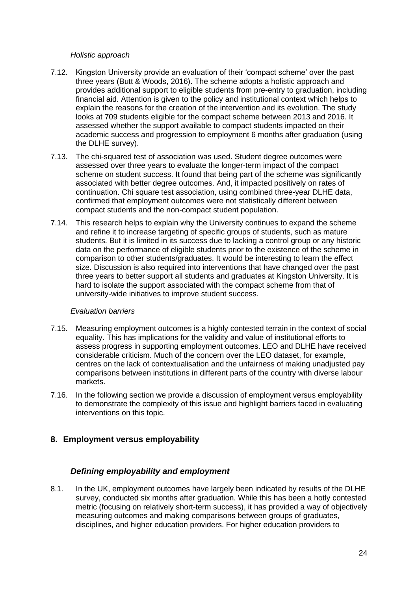#### *Holistic approach*

- <span id="page-23-0"></span>7.12. Kingston University provide an evaluation of their 'compact scheme' over the past three years (Butt & Woods, 2016). The scheme adopts a holistic approach and provides additional support to eligible students from pre-entry to graduation, including financial aid. Attention is given to the policy and institutional context which helps to explain the reasons for the creation of the intervention and its evolution. The study looks at 709 students eligible for the compact scheme between 2013 and 2016. It assessed whether the support available to compact students impacted on their academic success and progression to employment 6 months after graduation (using the DLHE survey).
- 7.13. The chi-squared test of association was used. Student degree outcomes were assessed over three years to evaluate the longer-term impact of the compact scheme on student success. It found that being part of the scheme was significantly associated with better degree outcomes. And, it impacted positively on rates of continuation. Chi square test association, using combined three-year DLHE data, confirmed that employment outcomes were not statistically different between compact students and the non-compact student population.
- 7.14. This research helps to explain why the University continues to expand the scheme and refine it to increase targeting of specific groups of students, such as mature students. But it is limited in its success due to lacking a control group or any historic data on the performance of eligible students prior to the existence of the scheme in comparison to other students/graduates. It would be interesting to learn the effect size. Discussion is also required into interventions that have changed over the past three years to better support all students and graduates at Kingston University. It is hard to isolate the support associated with the compact scheme from that of university-wide initiatives to improve student success.

#### *Evaluation barriers*

- <span id="page-23-1"></span>7.15. Measuring employment outcomes is a highly contested terrain in the context of social equality. This has implications for the validity and value of institutional efforts to assess progress in supporting employment outcomes. LEO and DLHE have received considerable criticism. Much of the concern over the LEO dataset, for example, centres on the lack of contextualisation and the unfairness of making unadjusted pay comparisons between institutions in different parts of the country with diverse labour markets.
- 7.16. In the following section we provide a discussion of employment versus employability to demonstrate the complexity of this issue and highlight barriers faced in evaluating interventions on this topic.

#### <span id="page-23-3"></span><span id="page-23-2"></span>**8. Employment versus employability**

#### *Defining employability and employment*

8.1. In the UK, employment outcomes have largely been indicated by results of the DLHE survey, conducted six months after graduation. While this has been a hotly contested metric (focusing on relatively short-term success), it has provided a way of objectively measuring outcomes and making comparisons between groups of graduates, disciplines, and higher education providers. For higher education providers to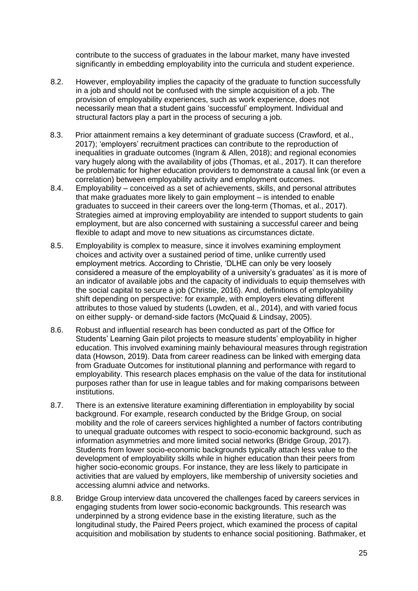contribute to the success of graduates in the labour market, many have invested significantly in embedding employability into the curricula and student experience.

- 8.2. However, employability implies the capacity of the graduate to function successfully in a job and should not be confused with the simple acquisition of a job. The provision of employability experiences, such as work experience, does not necessarily mean that a student gains 'successful' employment. Individual and structural factors play a part in the process of securing a job.
- 8.3. Prior attainment remains a key determinant of graduate success (Crawford, et al., 2017); 'employers' recruitment practices can contribute to the reproduction of inequalities in graduate outcomes (Ingram & Allen, 2018); and regional economies vary hugely along with the availability of jobs (Thomas, et al., 2017). It can therefore be problematic for higher education providers to demonstrate a causal link (or even a correlation) between employability activity and employment outcomes.
- 8.4. Employability conceived as a set of achievements, skills, and personal attributes that make graduates more likely to gain employment – is intended to enable graduates to succeed in their careers over the long-term (Thomas, et al., 2017). Strategies aimed at improving employability are intended to support students to gain employment, but are also concerned with sustaining a successful career and being flexible to adapt and move to new situations as circumstances dictate.
- 8.5. Employability is complex to measure, since it involves examining employment choices and activity over a sustained period of time, unlike currently used employment metrics. According to Christie, 'DLHE can only be very loosely considered a measure of the employability of a university's graduates' as it is more of an indicator of available jobs and the capacity of individuals to equip themselves with the social capital to secure a job (Christie, 2016). And, definitions of employability shift depending on perspective: for example, with employers elevating different attributes to those valued by students (Lowden, et al., 2014), and with varied focus on either supply- or demand-side factors (McQuaid & Lindsay, 2005).
- 8.6. Robust and influential research has been conducted as part of the Office for Students' Learning Gain pilot projects to measure students' employability in higher education. This involved examining mainly behavioural measures through registration data (Howson, 2019). Data from career readiness can be linked with emerging data from Graduate Outcomes for institutional planning and performance with regard to employability. This research places emphasis on the value of the data for institutional purposes rather than for use in league tables and for making comparisons between institutions.
- 8.7. There is an extensive literature examining differentiation in employability by social background. For example, research conducted by the Bridge Group, on social mobility and the role of careers services highlighted a number of factors contributing to unequal graduate outcomes with respect to socio-economic background, such as information asymmetries and more limited social networks (Bridge Group, 2017). Students from lower socio-economic backgrounds typically attach less value to the development of employability skills while in higher education than their peers from higher socio-economic groups. For instance, they are less likely to participate in activities that are valued by employers, like membership of university societies and accessing alumni advice and networks.
- 8.8. Bridge Group interview data uncovered the challenges faced by careers services in engaging students from lower socio-economic backgrounds. This research was underpinned by a strong evidence base in the existing literature, such as the longitudinal study, the Paired Peers project, which examined the process of capital acquisition and mobilisation by students to enhance social positioning. Bathmaker, et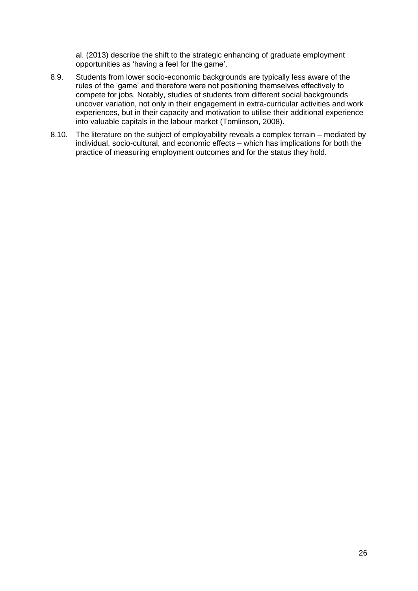al. (2013) describe the shift to the strategic enhancing of graduate employment opportunities as 'having a feel for the game'.

- 8.9. Students from lower socio-economic backgrounds are typically less aware of the rules of the 'game' and therefore were not positioning themselves effectively to compete for jobs. Notably, studies of students from different social backgrounds uncover variation, not only in their engagement in extra-curricular activities and work experiences, but in their capacity and motivation to utilise their additional experience into valuable capitals in the labour market (Tomlinson, 2008).
- 8.10. The literature on the subject of employability reveals a complex terrain mediated by individual, socio-cultural, and economic effects – which has implications for both the practice of measuring employment outcomes and for the status they hold.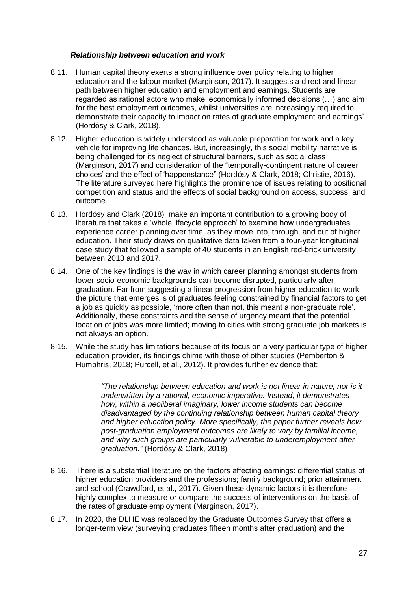#### *Relationship between education and work*

- <span id="page-26-0"></span>8.11. Human capital theory exerts a strong influence over policy relating to higher education and the labour market (Marginson, 2017). It suggests a direct and linear path between higher education and employment and earnings. Students are regarded as rational actors who make 'economically informed decisions (…) and aim for the best employment outcomes, whilst universities are increasingly required to demonstrate their capacity to impact on rates of graduate employment and earnings' (Hordósy & Clark, 2018).
- 8.12. Higher education is widely understood as valuable preparation for work and a key vehicle for improving life chances. But, increasingly, this social mobility narrative is being challenged for its neglect of structural barriers, such as social class (Marginson, 2017) and consideration of the "temporally-contingent nature of career choices' and the effect of 'happenstance" (Hordósy & Clark, 2018; Christie, 2016). The literature surveyed here highlights the prominence of issues relating to positional competition and status and the effects of social background on access, success, and outcome.
- 8.13. Hordósy and Clark (2018) make an important contribution to a growing body of literature that takes a 'whole lifecycle approach' to examine how undergraduates experience career planning over time, as they move into, through, and out of higher education. Their study draws on qualitative data taken from a four-year longitudinal case study that followed a sample of 40 students in an English red-brick university between 2013 and 2017.
- 8.14. One of the key findings is the way in which career planning amongst students from lower socio-economic backgrounds can become disrupted, particularly after graduation. Far from suggesting a linear progression from higher education to work, the picture that emerges is of graduates feeling constrained by financial factors to get a job as quickly as possible, 'more often than not, this meant a non-graduate role'. Additionally, these constraints and the sense of urgency meant that the potential location of jobs was more limited; moving to cities with strong graduate job markets is not always an option.
- 8.15. While the study has limitations because of its focus on a very particular type of higher education provider, its findings chime with those of other studies (Pemberton & Humphris, 2018; Purcell, et al., 2012). It provides further evidence that:

*"The relationship between education and work is not linear in nature, nor is it underwritten by a rational, economic imperative. Instead, it demonstrates how, within a neoliberal imaginary, lower income students can become disadvantaged by the continuing relationship between human capital theory and higher education policy. More specifically, the paper further reveals how post-graduation employment outcomes are likely to vary by familial income, and why such groups are particularly vulnerable to underemployment after graduation."* (Hordósy & Clark, 2018)

- 8.16. There is a substantial literature on the factors affecting earnings: differential status of higher education providers and the professions; family background; prior attainment and school (Crawdford, et al., 2017). Given these dynamic factors it is therefore highly complex to measure or compare the success of interventions on the basis of the rates of graduate employment (Marginson, 2017).
- 8.17. In 2020, the DLHE was replaced by the Graduate Outcomes Survey that offers a longer-term view (surveying graduates fifteen months after graduation) and the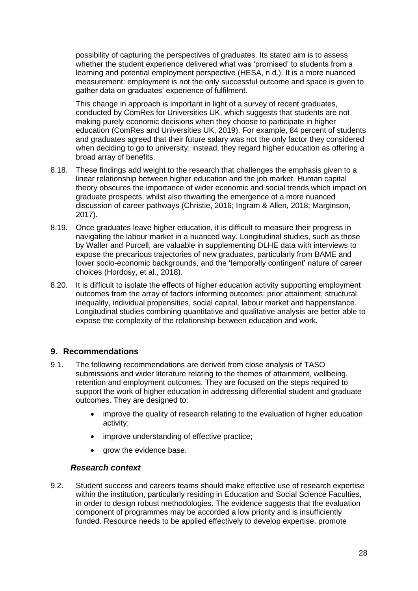possibility of capturing the perspectives of graduates. Its stated aim is to assess whether the student experience delivered what was 'promised' to students from a learning and potential employment perspective (HESA, n.d.). It is a more nuanced measurement: employment is not the only successful outcome and space is given to gather data on graduates' experience of fulfilment.

This change in approach is important in light of a survey of recent graduates, conducted by ComRes for Universities UK, which suggests that students are not making purely economic decisions when they choose to participate in higher education (ComRes and Universities UK, 2019). For example, 84 percent of students and graduates agreed that their future salary was not the only factor they considered when deciding to go to university; instead, they regard higher education as offering a broad array of benefits.

- 8.18. These findings add weight to the research that challenges the emphasis given to a linear relationship between higher education and the job market. Human capital theory obscures the importance of wider economic and social trends which impact on graduate prospects, whilst also thwarting the emergence of a more nuanced discussion of career pathways (Christie, 2016; Ingram & Allen, 2018; Marginson, 2017).
- 8.19. Once graduates leave higher education, it is difficult to measure their progress in navigating the labour market in a nuanced way. Longitudinal studies, such as those by Waller and Purcell, are valuable in supplementing DLHE data with interviews to expose the precarious trajectories of new graduates, particularly from BAME and lower socio-economic backgrounds, and the 'temporally contingent' nature of career choices (Hordosy, et al., 2018).
- 8.20. It is difficult to isolate the effects of higher education activity supporting employment outcomes from the array of factors informing outcomes: prior attainment, structural inequality, individual propensities, social capital, labour market and happenstance. Longitudinal studies combining quantitative and qualitative analysis are better able to expose the complexity of the relationship between education and work.

## <span id="page-27-0"></span>**9. Recommendations**

- 9.1. The following recommendations are derived from close analysis of TASO submissions and wider literature relating to the themes of attainment, wellbeing, retention and employment outcomes. They are focused on the steps required to support the work of higher education in addressing differential student and graduate outcomes. They are designed to:
	- improve the quality of research relating to the evaluation of higher education activity;
	- improve understanding of effective practice;
	- grow the evidence base.

#### <span id="page-27-1"></span>*Research context*

9.2. Student success and careers teams should make effective use of research expertise within the institution, particularly residing in Education and Social Science Faculties, in order to design robust methodologies. The evidence suggests that the evaluation component of programmes may be accorded a low priority and is insufficiently funded. Resource needs to be applied effectively to develop expertise, promote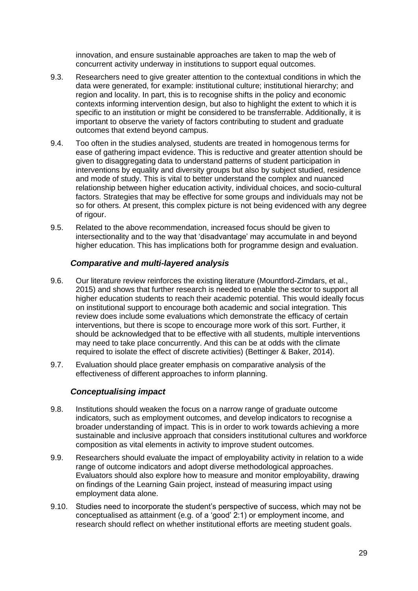innovation, and ensure sustainable approaches are taken to map the web of concurrent activity underway in institutions to support equal outcomes.

- 9.3. Researchers need to give greater attention to the contextual conditions in which the data were generated, for example: institutional culture; institutional hierarchy; and region and locality. In part, this is to recognise shifts in the policy and economic contexts informing intervention design, but also to highlight the extent to which it is specific to an institution or might be considered to be transferrable. Additionally, it is important to observe the variety of factors contributing to student and graduate outcomes that extend beyond campus.
- 9.4. Too often in the studies analysed, students are treated in homogenous terms for ease of gathering impact evidence. This is reductive and greater attention should be given to disaggregating data to understand patterns of student participation in interventions by equality and diversity groups but also by subject studied, residence and mode of study. This is vital to better understand the complex and nuanced relationship between higher education activity, individual choices, and socio-cultural factors. Strategies that may be effective for some groups and individuals may not be so for others. At present, this complex picture is not being evidenced with any degree of rigour.
- 9.5. Related to the above recommendation, increased focus should be given to intersectionality and to the way that 'disadvantage' may accumulate in and beyond higher education. This has implications both for programme design and evaluation.

### <span id="page-28-0"></span>*Comparative and multi-layered analysis*

- 9.6. Our literature review reinforces the existing literature (Mountford-Zimdars, et al., 2015) and shows that further research is needed to enable the sector to support all higher education students to reach their academic potential. This would ideally focus on institutional support to encourage both academic and social integration. This review does include some evaluations which demonstrate the efficacy of certain interventions, but there is scope to encourage more work of this sort. Further, it should be acknowledged that to be effective with all students, multiple interventions may need to take place concurrently. And this can be at odds with the climate required to isolate the effect of discrete activities) (Bettinger & Baker, 2014).
- <span id="page-28-1"></span>9.7. Evaluation should place greater emphasis on comparative analysis of the effectiveness of different approaches to inform planning.

## *Conceptualising impact*

- 9.8. Institutions should weaken the focus on a narrow range of graduate outcome indicators, such as employment outcomes, and develop indicators to recognise a broader understanding of impact. This is in order to work towards achieving a more sustainable and inclusive approach that considers institutional cultures and workforce composition as vital elements in activity to improve student outcomes.
- 9.9. Researchers should evaluate the impact of employability activity in relation to a wide range of outcome indicators and adopt diverse methodological approaches. Evaluators should also explore how to measure and monitor employability, drawing on findings of the Learning Gain project, instead of measuring impact using employment data alone.
- 9.10. Studies need to incorporate the student's perspective of success, which may not be conceptualised as attainment (e.g. of a 'good' 2:1) or employment income, and research should reflect on whether institutional efforts are meeting student goals.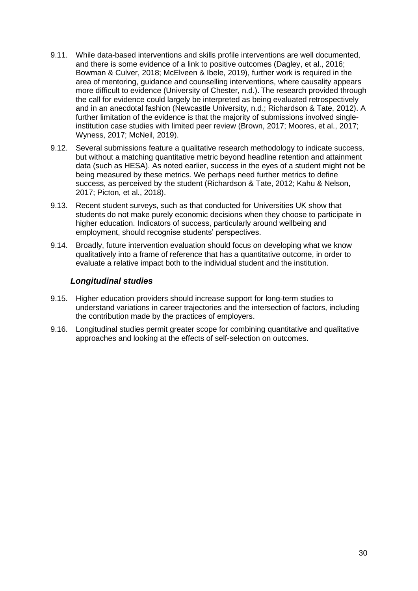- 9.11. While data-based interventions and skills profile interventions are well documented, and there is some evidence of a link to positive outcomes (Dagley, et al., 2016; Bowman & Culver, 2018; McElveen & Ibele, 2019), further work is required in the area of mentoring, guidance and counselling interventions, where causality appears more difficult to evidence (University of Chester, n.d.). The research provided through the call for evidence could largely be interpreted as being evaluated retrospectively and in an anecdotal fashion (Newcastle University, n.d.; Richardson & Tate, 2012). A further limitation of the evidence is that the majority of submissions involved singleinstitution case studies with limited peer review (Brown, 2017; Moores, et al., 2017; Wyness, 2017; McNeil, 2019).
- 9.12. Several submissions feature a qualitative research methodology to indicate success, but without a matching quantitative metric beyond headline retention and attainment data (such as HESA). As noted earlier, success in the eyes of a student might not be being measured by these metrics. We perhaps need further metrics to define success, as perceived by the student (Richardson & Tate, 2012; Kahu & Nelson, 2017; Picton, et al., 2018).
- 9.13. Recent student surveys, such as that conducted for Universities UK show that students do not make purely economic decisions when they choose to participate in higher education. Indicators of success, particularly around wellbeing and employment, should recognise students' perspectives.
- 9.14. Broadly, future intervention evaluation should focus on developing what we know qualitatively into a frame of reference that has a quantitative outcome, in order to evaluate a relative impact both to the individual student and the institution.

## *Longitudinal studies*

- <span id="page-29-0"></span>9.15. Higher education providers should increase support for long-term studies to understand variations in career trajectories and the intersection of factors, including the contribution made by the practices of employers.
- 9.16. Longitudinal studies permit greater scope for combining quantitative and qualitative approaches and looking at the effects of self-selection on outcomes.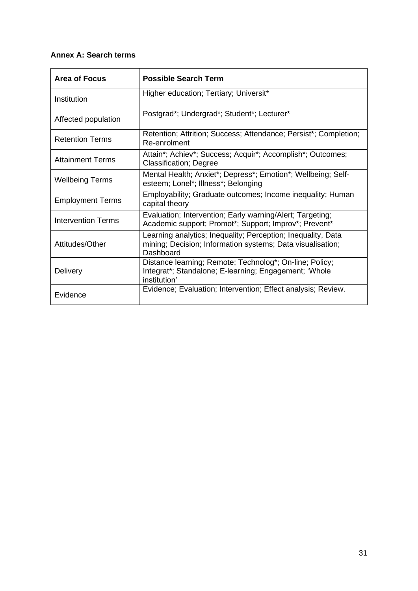## **Annex A: Search terms**

| <b>Area of Focus</b>    | <b>Possible Search Term</b>                                                                                                             |  |  |
|-------------------------|-----------------------------------------------------------------------------------------------------------------------------------------|--|--|
| Institution             | Higher education; Tertiary; Universit*                                                                                                  |  |  |
| Affected population     | Postgrad*; Undergrad*; Student*; Lecturer*                                                                                              |  |  |
| <b>Retention Terms</b>  | Retention; Attrition; Success; Attendance; Persist*; Completion;<br>Re-enrolment                                                        |  |  |
| <b>Attainment Terms</b> | Attain*; Achiev*; Success; Acquir*; Accomplish*; Outcomes;<br><b>Classification; Degree</b>                                             |  |  |
| <b>Wellbeing Terms</b>  | Mental Health; Anxiet*; Depress*; Emotion*; Wellbeing; Self-<br>esteem; Lonel*; Illness*; Belonging                                     |  |  |
| <b>Employment Terms</b> | Employability; Graduate outcomes; Income inequality; Human<br>capital theory                                                            |  |  |
| Intervention Terms      | Evaluation; Intervention; Early warning/Alert; Targeting;<br>Academic support; Promot*; Support; Improv*; Prevent*                      |  |  |
| Attitudes/Other         | Learning analytics; Inequality; Perception; Inequality, Data<br>mining; Decision; Information systems; Data visualisation;<br>Dashboard |  |  |
| <b>Delivery</b>         | Distance learning; Remote; Technolog*; On-line; Policy;<br>Integrat*; Standalone; E-learning; Engagement; 'Whole<br>institution'        |  |  |
| Evidence                | Evidence; Evaluation; Intervention; Effect analysis; Review.                                                                            |  |  |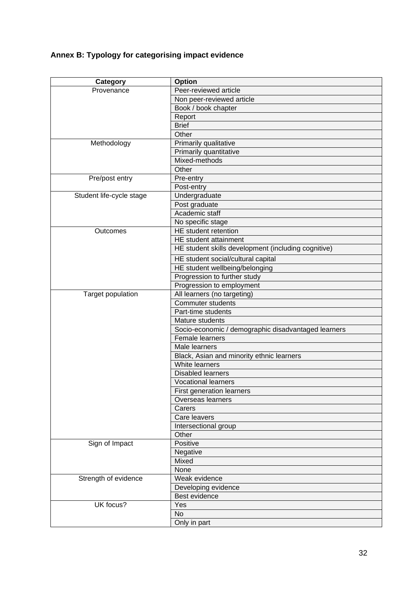## **Annex B: Typology for categorising impact evidence**

| Category                 | <b>Option</b>                                       |
|--------------------------|-----------------------------------------------------|
| Provenance               | Peer-reviewed article                               |
|                          | Non peer-reviewed article                           |
|                          | Book / book chapter                                 |
|                          | Report                                              |
|                          | <b>Brief</b>                                        |
|                          | Other                                               |
| Methodology              | Primarily qualitative                               |
|                          | Primarily quantitative                              |
|                          | Mixed-methods                                       |
|                          | Other                                               |
| Pre/post entry           | Pre-entry                                           |
|                          | Post-entry                                          |
| Student life-cycle stage | Undergraduate                                       |
|                          | Post graduate                                       |
|                          | Academic staff                                      |
|                          | No specific stage                                   |
| Outcomes                 | HE student retention                                |
|                          | HE student attainment                               |
|                          | HE student skills development (including cognitive) |
|                          | HE student social/cultural capital                  |
|                          | HE student wellbeing/belonging                      |
|                          | Progression to further study                        |
|                          | Progression to employment                           |
| Target population        | All learners (no targeting)                         |
|                          | <b>Commuter students</b>                            |
|                          | Part-time students                                  |
|                          | Mature students                                     |
|                          | Socio-economic / demographic disadvantaged learners |
|                          | Female learners                                     |
|                          | Male learners                                       |
|                          | Black, Asian and minority ethnic learners           |
|                          | White learners                                      |
|                          | <b>Disabled learners</b>                            |
|                          | <b>Vocational learners</b>                          |
|                          | <b>First generation learners</b>                    |
|                          | <b>Overseas learners</b>                            |
|                          | Carers                                              |
|                          | Care leavers                                        |
|                          | Intersectional group                                |
|                          | Other                                               |
| Sign of Impact           | Positive                                            |
|                          | Negative                                            |
|                          | Mixed                                               |
|                          | None                                                |
| Strength of evidence     | Weak evidence                                       |
|                          | Developing evidence                                 |
|                          | Best evidence                                       |
| UK focus?                | Yes                                                 |
|                          | <b>No</b>                                           |
|                          | Only in part                                        |
|                          |                                                     |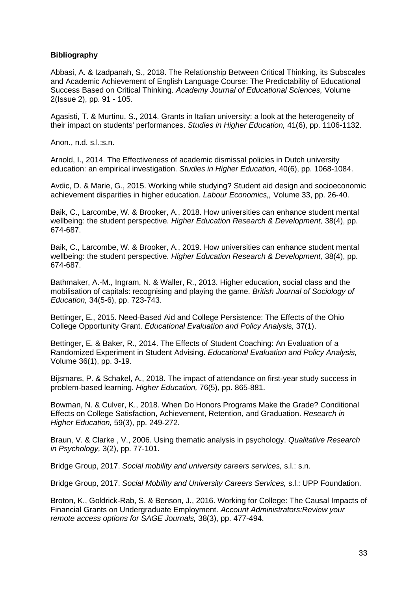#### **Bibliography**

Abbasi, A. & Izadpanah, S., 2018. The Relationship Between Critical Thinking, its Subscales and Academic Achievement of English Language Course: The Predictability of Educational Success Based on Critical Thinking. *Academy Journal of Educational Sciences,* Volume 2(Issue 2), pp. 91 - 105.

Agasisti, T. & Murtinu, S., 2014. Grants in Italian university: a look at the heterogeneity of their impact on students' performances. *Studies in Higher Education,* 41(6), pp. 1106-1132.

Anon., n.d. s.l.:s.n.

Arnold, I., 2014. The Effectiveness of academic dismissal policies in Dutch university education: an empirical investigation. *Studies in Higher Education,* 40(6), pp. 1068-1084.

Avdic, D. & Marie, G., 2015. Working while studying? Student aid design and socioeconomic achievement disparities in higher education. *Labour Economics,,* Volume 33, pp. 26-40.

Baik, C., Larcombe, W. & Brooker, A., 2018. How universities can enhance student mental wellbeing: the student perspective. *Higher Education Research & Development,* 38(4), pp. 674-687.

Baik, C., Larcombe, W. & Brooker, A., 2019. How universities can enhance student mental wellbeing: the student perspective. *Higher Education Research & Development,* 38(4), pp. 674-687.

Bathmaker, A.-M., Ingram, N. & Waller, R., 2013. Higher education, social class and the mobilisation of capitals: recognising and playing the game. *British Journal of Sociology of Education,* 34(5-6), pp. 723-743.

Bettinger, E., 2015. Need-Based Aid and College Persistence: The Effects of the Ohio College Opportunity Grant. *Educational Evaluation and Policy Analysis,* 37(1).

Bettinger, E. & Baker, R., 2014. The Effects of Student Coaching: An Evaluation of a Randomized Experiment in Student Advising. *Educational Evaluation and Policy Analysis,*  Volume 36(1), pp. 3-19.

Bijsmans, P. & Schakel, A., 2018. The impact of attendance on first-year study success in problem-based learning. *Higher Education,* 76(5), pp. 865-881.

Bowman, N. & Culver, K., 2018. When Do Honors Programs Make the Grade? Conditional Effects on College Satisfaction, Achievement, Retention, and Graduation. *Research in Higher Education,* 59(3), pp. 249-272.

Braun, V. & Clarke , V., 2006. Using thematic analysis in psychology. *Qualitative Research in Psychology,* 3(2), pp. 77-101.

Bridge Group, 2017. *Social mobility and university careers services,* s.l.: s.n.

Bridge Group, 2017. *Social Mobility and University Careers Services,* s.l.: UPP Foundation.

Broton, K., Goldrick-Rab, S. & Benson, J., 2016. Working for College: The Causal Impacts of Financial Grants on Undergraduate Employment. *Account Administrators:Review your remote access options for SAGE Journals,* 38(3), pp. 477-494.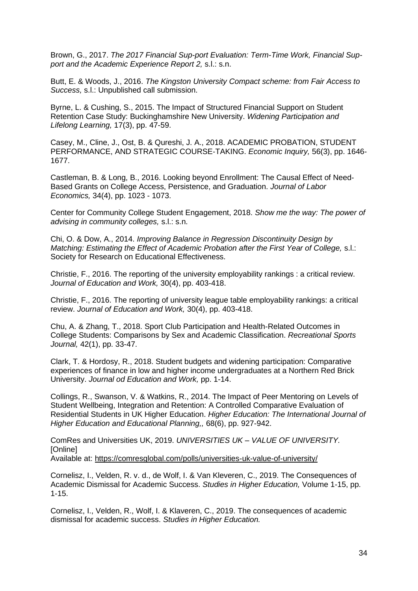Brown, G., 2017. *The 2017 Financial Sup-port Evaluation: Term-Time Work, Financial Support and the Academic Experience Report 2,* s.l.: s.n.

Butt, E. & Woods, J., 2016. *The Kingston University Compact scheme: from Fair Access to Success,* s.l.: Unpublished call submission.

Byrne, L. & Cushing, S., 2015. The Impact of Structured Financial Support on Student Retention Case Study: Buckinghamshire New University. *Widening Participation and Lifelong Learning,* 17(3), pp. 47-59.

Casey, M., Cline, J., Ost, B. & Qureshi, J. A., 2018. ACADEMIC PROBATION, STUDENT PERFORMANCE, AND STRATEGIC COURSE‐TAKING. *Economic Inquiry,* 56(3), pp. 1646- 1677.

Castleman, B. & Long, B., 2016. Looking beyond Enrollment: The Causal Effect of Need-Based Grants on College Access, Persistence, and Graduation. *Journal of Labor Economics,* 34(4), pp. 1023 - 1073.

Center for Community College Student Engagement, 2018. *Show me the way: The power of advising in community colleges,* s.l.: s.n.

Chi, O. & Dow, A., 2014. *Improving Balance in Regression Discontinuity Design by Matching: Estimating the Effect of Academic Probation after the First Year of College,* s.l.: Society for Research on Educational Effectiveness.

Christie, F., 2016. The reporting of the university employability rankings : a critical review. *Journal of Education and Work,* 30(4), pp. 403-418.

Christie, F., 2016. The reporting of university league table employability rankings: a critical review. *Journal of Education and Work,* 30(4), pp. 403-418.

Chu, A. & Zhang, T., 2018. Sport Club Participation and Health-Related Outcomes in College Students: Comparisons by Sex and Academic Classification. *Recreational Sports Journal,* 42(1), pp. 33-47.

Clark, T. & Hordosy, R., 2018. Student budgets and widening participation: Comparative experiences of finance in low and higher income undergraduates at a Northern Red Brick University. *Journal od Education and Work,* pp. 1-14.

Collings, R., Swanson, V. & Watkins, R., 2014. The Impact of Peer Mentoring on Levels of Student Wellbeing, Integration and Retention: A Controlled Comparative Evaluation of Residential Students in UK Higher Education. *Higher Education: The International Journal of Higher Education and Educational Planning,,* 68(6), pp. 927-942.

ComRes and Universities UK, 2019. *UNIVERSITIES UK – VALUE OF UNIVERSITY.*  [Online] Available at: https://comresglobal.com/polls/universities-uk-value-of-university/

Cornelisz, I., Velden, R. v. d., de Wolf, I. & Van Kleveren, C., 2019. The Consequences of Academic Dismissal for Academic Success. *Studies in Higher Education,* Volume 1-15, pp. 1-15.

Cornelisz, I., Velden, R., Wolf, I. & Klaveren, C., 2019. The consequences of academic dismissal for academic success. *Studies in Higher Education.*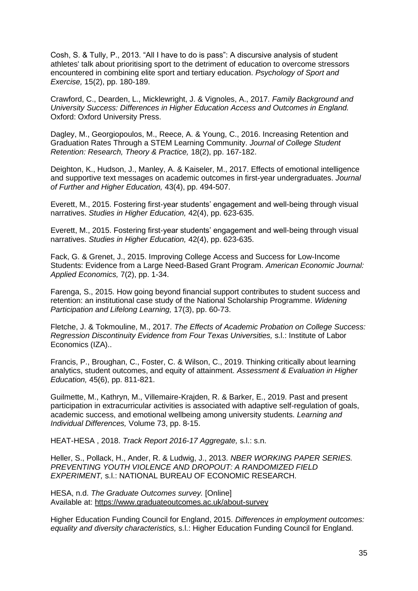Cosh, S. & Tully, P., 2013. "All I have to do is pass": A discursive analysis of student athletes' talk about prioritising sport to the detriment of education to overcome stressors encountered in combining elite sport and tertiary education. *Psychology of Sport and Exercise,* 15(2), pp. 180-189.

Crawford, C., Dearden, L., Micklewright, J. & Vignoles, A., 2017. *Family Background and University Success: Differences in Higher Education Access and Outcomes in England.*  Oxford: Oxford University Press.

Dagley, M., Georgiopoulos, M., Reece, A. & Young, C., 2016. Increasing Retention and Graduation Rates Through a STEM Learning Community. *Journal of College Student Retention: Research, Theory & Practice,* 18(2), pp. 167-182.

Deighton, K., Hudson, J., Manley, A. & Kaiseler, M., 2017. Effects of emotional intelligence and supportive text messages on academic outcomes in first-year undergraduates. *Journal of Further and Higher Education,* 43(4), pp. 494-507.

Everett, M., 2015. Fostering first-year students' engagement and well-being through visual narratives. *Studies in Higher Education,* 42(4), pp. 623-635.

Everett, M., 2015. Fostering first-year students' engagement and well-being through visual narratives. *Studies in Higher Education,* 42(4), pp. 623-635.

Fack, G. & Grenet, J., 2015. Improving College Access and Success for Low-Income Students: Evidence from a Large Need-Based Grant Program. *American Economic Journal: Applied Economics,* 7(2), pp. 1-34.

Farenga, S., 2015. How going beyond financial support contributes to student success and retention: an institutional case study of the National Scholarship Programme. *Widening Participation and Lifelong Learning,* 17(3), pp. 60-73.

Fletche, J. & Tokmouline, M., 2017. *The Effects of Academic Probation on College Success: Regression Discontinuity Evidence from Four Texas Universities,* s.l.: Institute of Labor Economics (IZA)..

Francis, P., Broughan, C., Foster, C. & Wilson, C., 2019. Thinking critically about learning analytics, student outcomes, and equity of attainment. *Assessment & Evaluation in Higher Education,* 45(6), pp. 811-821.

Guilmette, M., Kathryn, M., Villemaire-Krajden, R. & Barker, E., 2019. Past and present participation in extracurricular activities is associated with adaptive self-regulation of goals, academic success, and emotional wellbeing among university students. *Learning and Individual Differences,* Volume 73, pp. 8-15.

HEAT-HESA , 2018. *Track Report 2016-17 Aggregate,* s.l.: s.n.

Heller, S., Pollack, H., Ander, R. & Ludwig, J., 2013. *NBER WORKING PAPER SERIES. PREVENTING YOUTH VIOLENCE AND DROPOUT: A RANDOMIZED FIELD EXPERIMENT,* s.l.: NATIONAL BUREAU OF ECONOMIC RESEARCH.

HESA, n.d. *The Graduate Outcomes survey.* [Online] Available at: https://www.graduateoutcomes.ac.uk/about-survey

Higher Education Funding Council for England, 2015. *Differences in employment outcomes: equality and diversity characteristics,* s.l.: Higher Education Funding Council for England.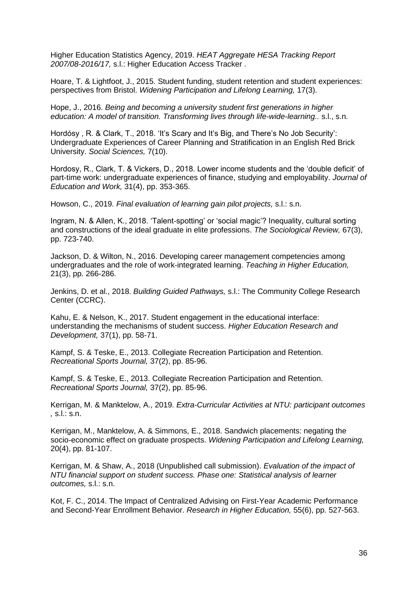Higher Education Statistics Agency, 2019. *HEAT Aggregate HESA Tracking Report 2007/08-2016/17,* s.l.: Higher Education Access Tracker .

Hoare, T. & Lightfoot, J., 2015. Student funding, student retention and student experiences: perspectives from Bristol. *Widening Participation and Lifelong Learning,* 17(3).

Hope, J., 2016. *Being and becoming a university student first generations in higher education: A model of transition. Transforming lives through life-wide-learning..* s.l., s.n.

Hordósy , R. & Clark, T., 2018. 'It's Scary and It's Big, and There's No Job Security': Undergraduate Experiences of Career Planning and Stratification in an English Red Brick University. *Social Sciences,* 7(10).

Hordosy, R., Clark, T. & Vickers, D., 2018. Lower income students and the 'double deficit' of part-time work: undergraduate experiences of finance, studying and employability. *Journal of Education and Work,* 31(4), pp. 353-365.

Howson, C., 2019. *Final evaluation of learning gain pilot projects,* s.l.: s.n.

Ingram, N. & Allen, K., 2018. 'Talent-spotting' or 'social magic'? Inequality, cultural sorting and constructions of the ideal graduate in elite professions. *The Sociological Review,* 67(3), pp. 723-740.

Jackson, D. & Wilton, N., 2016. Developing career management competencies among undergraduates and the role of work-integrated learning. *Teaching in Higher Education,*  21(3), pp. 266-286.

Jenkins, D. et al., 2018. *Building Guided Pathways,* s.l.: The Community College Research Center (CCRC).

Kahu, E. & Nelson, K., 2017. Student engagement in the educational interface: understanding the mechanisms of student success. *Higher Education Research and Development,* 37(1), pp. 58-71.

Kampf, S. & Teske, E., 2013. Collegiate Recreation Participation and Retention. *Recreational Sports Journal,* 37(2), pp. 85-96.

Kampf, S. & Teske, E., 2013. Collegiate Recreation Participation and Retention. *Recreational Sports Journal,* 37(2), pp. 85-96.

Kerrigan, M. & Manktelow, A., 2019. *Extra-Curricular Activities at NTU: participant outcomes ,* s.l.: s.n.

Kerrigan, M., Manktelow, A. & Simmons, E., 2018. Sandwich placements: negating the socio-economic effect on graduate prospects. *Widening Participation and Lifelong Learning,*  20(4), pp. 81-107.

Kerrigan, M. & Shaw, A., 2018 (Unpublished call submission). *Evaluation of the impact of NTU financial support on student success. Phase one: Statistical analysis of learner outcomes,* s.l.: s.n.

Kot, F. C., 2014. The Impact of Centralized Advising on First-Year Academic Performance and Second-Year Enrollment Behavior. *Research in Higher Education,* 55(6), pp. 527-563.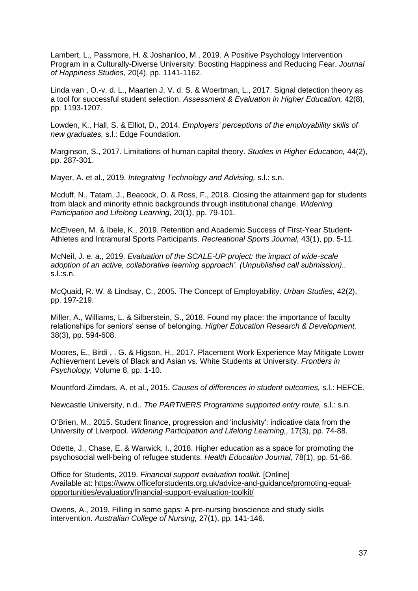Lambert, L., Passmore, H. & Joshanloo, M., 2019. A Positive Psychology Intervention Program in a Culturally-Diverse University: Boosting Happiness and Reducing Fear. *Journal of Happiness Studies,* 20(4), pp. 1141-1162.

Linda van , O.-v. d. L., Maarten J, V. d. S. & Woertman, L., 2017. Signal detection theory as a tool for successful student selection. *Assessment & Evaluation in Higher Education,* 42(8), pp. 1193-1207.

Lowden, K., Hall, S. & Elliot, D., 2014. *Employers' perceptions of the employability skills of new graduates,* s.l.: Edge Foundation.

Marginson, S., 2017. Limitations of human capital theory. *Studies in Higher Education,* 44(2), pp. 287-301.

Mayer, A. et al., 2019. *Integrating Technology and Advising,* s.l.: s.n.

Mcduff, N., Tatam, J., Beacock, O. & Ross, F., 2018. Closing the attainment gap for students from black and minority ethnic backgrounds through institutional change. *Widening Participation and Lifelong Learning,* 20(1), pp. 79-101.

McElveen, M. & Ibele, K., 2019. Retention and Academic Success of First-Year Student-Athletes and Intramural Sports Participants. *Recreational Sports Journal,* 43(1), pp. 5-11.

McNeil, J. e. a., 2019. *Evaluation of the SCALE-UP project: the impact of wide-scale adoption of an active, collaborative learning approach'. (Unpublished call submission)..*  s.l.:s.n.

McQuaid, R. W. & Lindsay, C., 2005. The Concept of Employability. *Urban Studies,* 42(2), pp. 197-219.

Miller, A., Williams, L. & Silberstein, S., 2018. Found my place: the importance of faculty relationships for seniors' sense of belonging. *Higher Education Research & Development,*  38(3), pp. 594-608.

Moores, E., Birdi , . G. & Higson, H., 2017. Placement Work Experience May Mitigate Lower Achievement Levels of Black and Asian vs. White Students at University. *Frontiers in Psychology,* Volume 8, pp. 1-10.

Mountford-Zimdars, A. et al., 2015. *Causes of differences in student outcomes,* s.l.: HEFCE.

Newcastle University, n.d.. *The PARTNERS Programme supported entry route,* s.l.: s.n.

O'Brien, M., 2015. Student finance, progression and 'inclusivity': indicative data from the University of Liverpool. *Widening Participation and Lifelong Learning,,* 17(3), pp. 74-88.

Odette, J., Chase, E. & Warwick, I., 2018. Higher education as a space for promoting the psychosocial well-being of refugee students. *Health Education Journal,* 78(1), pp. 51-66.

Office for Students, 2019. *Financial support evaluation toolkit.* [Online] Available at: https://www.officeforstudents.org.uk/advice-and-guidance/promoting-equalopportunities/evaluation/financial-support-evaluation-toolkit/

Owens, A., 2019. Filling in some gaps: A pre-nursing bioscience and study skills intervention. *Australian College of Nursing,* 27(1), pp. 141-146.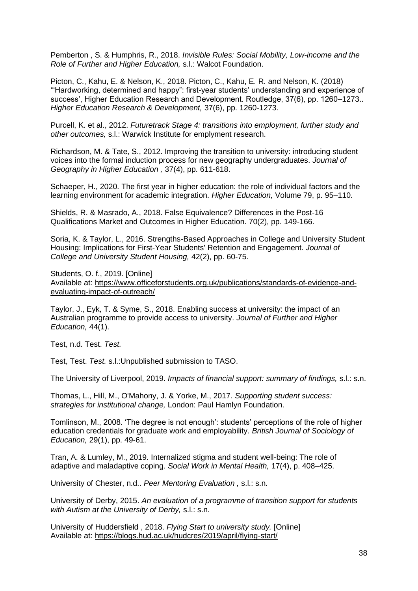Pemberton , S. & Humphris, R., 2018. *Invisible Rules: Social Mobility, Low-income and the Role of Further and Higher Education,* s.l.: Walcot Foundation.

Picton, C., Kahu, E. & Nelson, K., 2018. Picton, C., Kahu, E. R. and Nelson, K. (2018) '"Hardworking, determined and happy": first-year students' understanding and experience of success', Higher Education Research and Development. Routledge, 37(6), pp. 1260–1273.. *Higher Education Research & Development,* 37(6), pp. 1260-1273.

Purcell, K. et al., 2012. *Futuretrack Stage 4: transitions into employment, further study and other outcomes,* s.l.: Warwick Institute for emplyment research.

Richardson, M. & Tate, S., 2012. Improving the transition to university: introducing student voices into the formal induction process for new geography undergraduates. *Journal of Geography in Higher Education ,* 37(4), pp. 611-618.

Schaeper, H., 2020. The first year in higher education: the role of individual factors and the learning environment for academic integration. *Higher Education,* Volume 79, p. 95–110.

Shields, R. & Masrado, A., 2018. False Equivalence? Differences in the Post-16 Qualifications Market and Outcomes in Higher Education. 70(2), pp. 149-166.

Soria, K. & Taylor, L., 2016. Strengths-Based Approaches in College and University Student Housing: Implications for First-Year Students' Retention and Engagement. *Journal of College and University Student Housing,* 42(2), pp. 60-75.

Students, O. f., 2019. [Online] Available at: https://www.officeforstudents.org.uk/publications/standards-of-evidence-andevaluating-impact-of-outreach/

Taylor, J., Eyk, T. & Syme, S., 2018. Enabling success at university: the impact of an Australian programme to provide access to university. *Journal of Further and Higher Education,* 44(1).

Test, n.d. Test. *Test.*

Test, Test. *Test.* s.l.:Unpublished submission to TASO.

The University of Liverpool, 2019. *Impacts of financial support: summary of findings,* s.l.: s.n.

Thomas, L., Hill, M., O'Mahony, J. & Yorke, M., 2017. *Supporting student success: strategies for institutional change,* London: Paul Hamlyn Foundation.

Tomlinson, M., 2008. 'The degree is not enough': students' perceptions of the role of higher education credentials for graduate work and employability. *British Journal of Sociology of Education,* 29(1), pp. 49-61.

Tran, A. & Lumley, M., 2019. Internalized stigma and student well-being: The role of adaptive and maladaptive coping. *Social Work in Mental Health,* 17(4), p. 408–425.

University of Chester, n.d.. *Peer Mentoring Evaluation ,* s.l.: s.n.

University of Derby, 2015. *An evaluation of a programme of transition support for students with Autism at the University of Derby,* s.l.: s.n.

University of Huddersfield , 2018. *Flying Start to university study.* [Online] Available at: https://blogs.hud.ac.uk/hudcres/2019/april/flying-start/